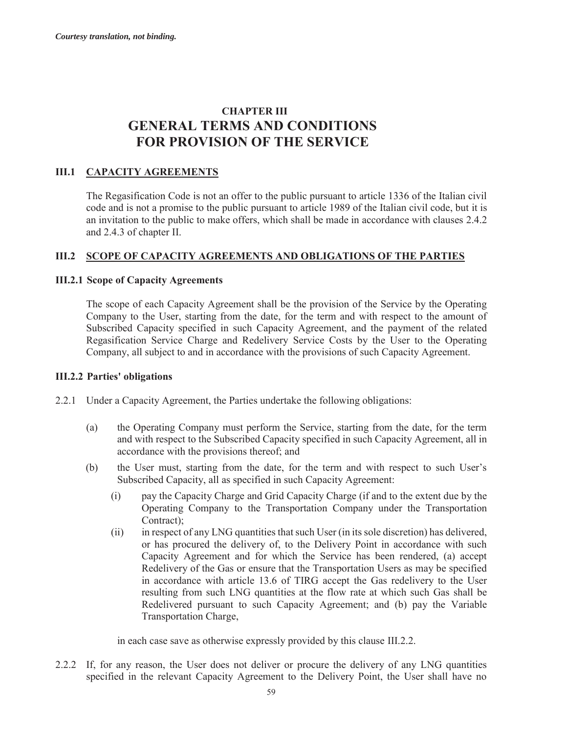# **CHAPTER III GENERAL TERMS AND CONDITIONS FOR PROVISION OF THE SERVICE**

## **III.1 CAPACITY AGREEMENTS**

The Regasification Code is not an offer to the public pursuant to article 1336 of the Italian civil code and is not a promise to the public pursuant to article 1989 of the Italian civil code, but it is an invitation to the public to make offers, which shall be made in accordance with clauses 2.4.2 and 2.4.3 of chapter II.

### **III.2 SCOPE OF CAPACITY AGREEMENTS AND OBLIGATIONS OF THE PARTIES**

#### **III.2.1 Scope of Capacity Agreements**

The scope of each Capacity Agreement shall be the provision of the Service by the Operating Company to the User, starting from the date, for the term and with respect to the amount of Subscribed Capacity specified in such Capacity Agreement, and the payment of the related Regasification Service Charge and Redelivery Service Costs by the User to the Operating Company, all subject to and in accordance with the provisions of such Capacity Agreement.

#### **III.2.2 Parties' obligations**

- 2.2.1 Under a Capacity Agreement, the Parties undertake the following obligations:
	- (a) the Operating Company must perform the Service, starting from the date, for the term and with respect to the Subscribed Capacity specified in such Capacity Agreement, all in accordance with the provisions thereof; and
	- (b) the User must, starting from the date, for the term and with respect to such User's Subscribed Capacity, all as specified in such Capacity Agreement:
		- (i) pay the Capacity Charge and Grid Capacity Charge (if and to the extent due by the Operating Company to the Transportation Company under the Transportation Contract);
		- (ii) in respect of any LNG quantities that such User (in its sole discretion) has delivered, or has procured the delivery of, to the Delivery Point in accordance with such Capacity Agreement and for which the Service has been rendered, (a) accept Redelivery of the Gas or ensure that the Transportation Users as may be specified in accordance with article 13.6 of TIRG accept the Gas redelivery to the User resulting from such LNG quantities at the flow rate at which such Gas shall be Redelivered pursuant to such Capacity Agreement; and (b) pay the Variable Transportation Charge,

in each case save as otherwise expressly provided by this clause III.2.2.

2.2.2 If, for any reason, the User does not deliver or procure the delivery of any LNG quantities specified in the relevant Capacity Agreement to the Delivery Point, the User shall have no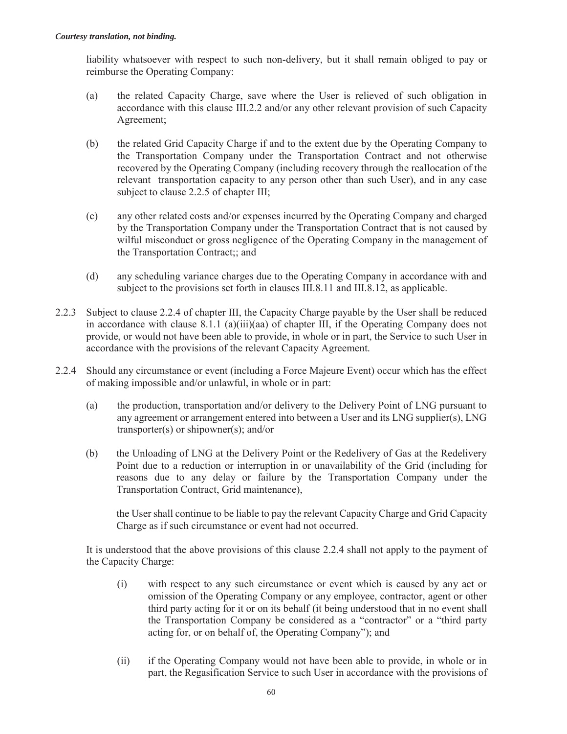liability whatsoever with respect to such non-delivery, but it shall remain obliged to pay or reimburse the Operating Company:

- (a) the related Capacity Charge, save where the User is relieved of such obligation in accordance with this clause III.2.2 and/or any other relevant provision of such Capacity Agreement;
- (b) the related Grid Capacity Charge if and to the extent due by the Operating Company to the Transportation Company under the Transportation Contract and not otherwise recovered by the Operating Company (including recovery through the reallocation of the relevant transportation capacity to any person other than such User), and in any case subject to clause 2.2.5 of chapter III;
- (c) any other related costs and/or expenses incurred by the Operating Company and charged by the Transportation Company under the Transportation Contract that is not caused by wilful misconduct or gross negligence of the Operating Company in the management of the Transportation Contract;; and
- (d) any scheduling variance charges due to the Operating Company in accordance with and subject to the provisions set forth in clauses III.8.11 and III.8.12, as applicable.
- 2.2.3 Subject to clause 2.2.4 of chapter III, the Capacity Charge payable by the User shall be reduced in accordance with clause 8.1.1 (a)(iii)(aa) of chapter III, if the Operating Company does not provide, or would not have been able to provide, in whole or in part, the Service to such User in accordance with the provisions of the relevant Capacity Agreement.
- 2.2.4 Should any circumstance or event (including a Force Majeure Event) occur which has the effect of making impossible and/or unlawful, in whole or in part:
	- (a) the production, transportation and/or delivery to the Delivery Point of LNG pursuant to any agreement or arrangement entered into between a User and its LNG supplier(s), LNG transporter(s) or shipowner(s); and/or
	- (b) the Unloading of LNG at the Delivery Point or the Redelivery of Gas at the Redelivery Point due to a reduction or interruption in or unavailability of the Grid (including for reasons due to any delay or failure by the Transportation Company under the Transportation Contract, Grid maintenance),

the User shall continue to be liable to pay the relevant Capacity Charge and Grid Capacity Charge as if such circumstance or event had not occurred.

It is understood that the above provisions of this clause 2.2.4 shall not apply to the payment of the Capacity Charge:

- (i) with respect to any such circumstance or event which is caused by any act or omission of the Operating Company or any employee, contractor, agent or other third party acting for it or on its behalf (it being understood that in no event shall the Transportation Company be considered as a "contractor" or a "third party acting for, or on behalf of, the Operating Company"); and
- (ii) if the Operating Company would not have been able to provide, in whole or in part, the Regasification Service to such User in accordance with the provisions of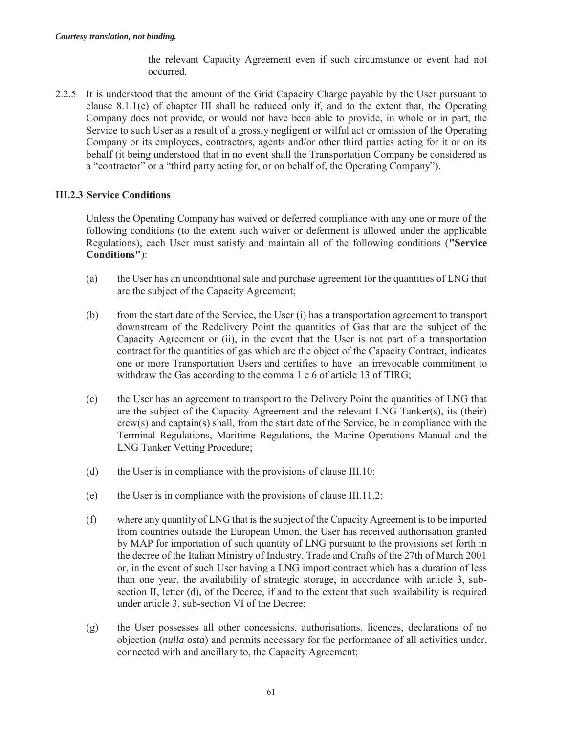the relevant Capacity Agreement even if such circumstance or event had not occurred.

2.2.5 It is understood that the amount of the Grid Capacity Charge payable by the User pursuant to clause 8.1.1(e) of chapter III shall be reduced only if, and to the extent that, the Operating Company does not provide, or would not have been able to provide, in whole or in part, the Service to such User as a result of a grossly negligent or wilful act or omission of the Operating Company or its employees, contractors, agents and/or other third parties acting for it or on its behalf (it being understood that in no event shall the Transportation Company be considered as a "contractor" or a "third party acting for, or on behalf of, the Operating Company").

## **III.2.3 Service Conditions**

Unless the Operating Company has waived or deferred compliance with any one or more of the following conditions (to the extent such waiver or deferment is allowed under the applicable Regulations), each User must satisfy and maintain all of the following conditions (**"Service Conditions"**):

- (a) the User has an unconditional sale and purchase agreement for the quantities of LNG that are the subject of the Capacity Agreement;
- (b) from the start date of the Service, the User (i) has a transportation agreement to transport downstream of the Redelivery Point the quantities of Gas that are the subject of the Capacity Agreement or (ii), in the event that the User is not part of a transportation contract for the quantities of gas which are the object of the Capacity Contract, indicates one or more Transportation Users and certifies to have an irrevocable commitment to withdraw the Gas according to the comma 1 e 6 of article 13 of TIRG;
- (c) the User has an agreement to transport to the Delivery Point the quantities of LNG that are the subject of the Capacity Agreement and the relevant LNG Tanker(s), its (their) crew(s) and captain(s) shall, from the start date of the Service, be in compliance with the Terminal Regulations, Maritime Regulations, the Marine Operations Manual and the LNG Tanker Vetting Procedure;
- (d) the User is in compliance with the provisions of clause III.10;
- (e) the User is in compliance with the provisions of clause III.11.2;
- (f) where any quantity of LNG that is the subject of the Capacity Agreement is to be imported from countries outside the European Union, the User has received authorisation granted by MAP for importation of such quantity of LNG pursuant to the provisions set forth in the decree of the Italian Ministry of Industry, Trade and Crafts of the 27th of March 2001 or, in the event of such User having a LNG import contract which has a duration of less than one year, the availability of strategic storage, in accordance with article 3, subsection II, letter (d), of the Decree, if and to the extent that such availability is required under article 3, sub-section VI of the Decree;
- (g) the User possesses all other concessions, authorisations, licences, declarations of no objection (*nulla osta*) and permits necessary for the performance of all activities under, connected with and ancillary to, the Capacity Agreement;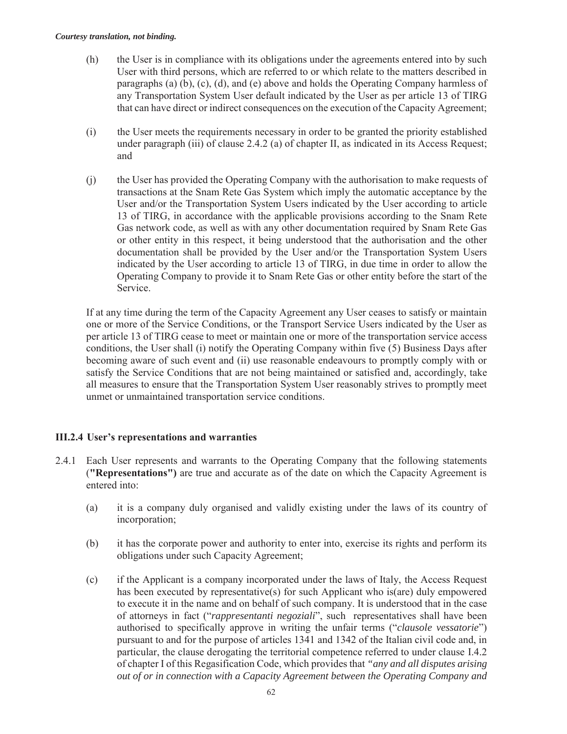- (h) the User is in compliance with its obligations under the agreements entered into by such User with third persons, which are referred to or which relate to the matters described in paragraphs (a) (b), (c), (d), and (e) above and holds the Operating Company harmless of any Transportation System User default indicated by the User as per article 13 of TIRG that can have direct or indirect consequences on the execution of the Capacity Agreement;
- (i) the User meets the requirements necessary in order to be granted the priority established under paragraph (iii) of clause 2.4.2 (a) of chapter II, as indicated in its Access Request; and
- (j) the User has provided the Operating Company with the authorisation to make requests of transactions at the Snam Rete Gas System which imply the automatic acceptance by the User and/or the Transportation System Users indicated by the User according to article 13 of TIRG, in accordance with the applicable provisions according to the Snam Rete Gas network code, as well as with any other documentation required by Snam Rete Gas or other entity in this respect, it being understood that the authorisation and the other documentation shall be provided by the User and/or the Transportation System Users indicated by the User according to article 13 of TIRG, in due time in order to allow the Operating Company to provide it to Snam Rete Gas or other entity before the start of the Service.

If at any time during the term of the Capacity Agreement any User ceases to satisfy or maintain one or more of the Service Conditions, or the Transport Service Users indicated by the User as per article 13 of TIRG cease to meet or maintain one or more of the transportation service access conditions, the User shall (i) notify the Operating Company within five (5) Business Days after becoming aware of such event and (ii) use reasonable endeavours to promptly comply with or satisfy the Service Conditions that are not being maintained or satisfied and, accordingly, take all measures to ensure that the Transportation System User reasonably strives to promptly meet unmet or unmaintained transportation service conditions.

# **III.2.4 User's representations and warranties**

- 2.4.1 Each User represents and warrants to the Operating Company that the following statements (**"Representations")** are true and accurate as of the date on which the Capacity Agreement is entered into:
	- (a) it is a company duly organised and validly existing under the laws of its country of incorporation;
	- (b) it has the corporate power and authority to enter into, exercise its rights and perform its obligations under such Capacity Agreement;
	- (c) if the Applicant is a company incorporated under the laws of Italy, the Access Request has been executed by representative(s) for such Applicant who is(are) duly empowered to execute it in the name and on behalf of such company. It is understood that in the case of attorneys in fact ("*rappresentanti negoziali*", such representatives shall have been authorised to specifically approve in writing the unfair terms ("*clausole vessatorie*") pursuant to and for the purpose of articles 1341 and 1342 of the Italian civil code and, in particular, the clause derogating the territorial competence referred to under clause I.4.2 of chapter I of this Regasification Code, which provides that *"any and all disputes arising out of or in connection with a Capacity Agreement between the Operating Company and*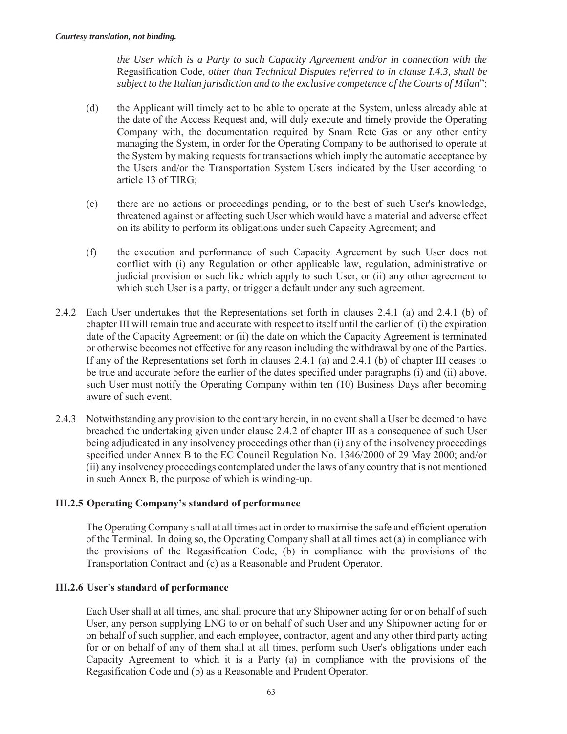*the User which is a Party to such Capacity Agreement and/or in connection with the*  Regasification Code*, other than Technical Disputes referred to in clause I.4.3, shall be subject to the Italian jurisdiction and to the exclusive competence of the Courts of Milan*";

- (d) the Applicant will timely act to be able to operate at the System, unless already able at the date of the Access Request and, will duly execute and timely provide the Operating Company with, the documentation required by Snam Rete Gas or any other entity managing the System, in order for the Operating Company to be authorised to operate at the System by making requests for transactions which imply the automatic acceptance by the Users and/or the Transportation System Users indicated by the User according to article 13 of TIRG;
- (e) there are no actions or proceedings pending, or to the best of such User's knowledge, threatened against or affecting such User which would have a material and adverse effect on its ability to perform its obligations under such Capacity Agreement; and
- (f) the execution and performance of such Capacity Agreement by such User does not conflict with (i) any Regulation or other applicable law, regulation, administrative or judicial provision or such like which apply to such User, or (ii) any other agreement to which such User is a party, or trigger a default under any such agreement.
- 2.4.2 Each User undertakes that the Representations set forth in clauses 2.4.1 (a) and 2.4.1 (b) of chapter III will remain true and accurate with respect to itself until the earlier of: (i) the expiration date of the Capacity Agreement; or (ii) the date on which the Capacity Agreement is terminated or otherwise becomes not effective for any reason including the withdrawal by one of the Parties. If any of the Representations set forth in clauses 2.4.1 (a) and 2.4.1 (b) of chapter III ceases to be true and accurate before the earlier of the dates specified under paragraphs (i) and (ii) above, such User must notify the Operating Company within ten (10) Business Days after becoming aware of such event.
- 2.4.3 Notwithstanding any provision to the contrary herein, in no event shall a User be deemed to have breached the undertaking given under clause 2.4.2 of chapter III as a consequence of such User being adjudicated in any insolvency proceedings other than (i) any of the insolvency proceedings specified under Annex B to the EC Council Regulation No. 1346/2000 of 29 May 2000; and/or (ii) any insolvency proceedings contemplated under the laws of any country that is not mentioned in such Annex B, the purpose of which is winding-up.

### **III.2.5 Operating Company's standard of performance**

The Operating Company shall at all times act in order to maximise the safe and efficient operation of the Terminal. In doing so, the Operating Company shall at all times act (a) in compliance with the provisions of the Regasification Code, (b) in compliance with the provisions of the Transportation Contract and (c) as a Reasonable and Prudent Operator.

#### **III.2.6 User's standard of performance**

Each User shall at all times, and shall procure that any Shipowner acting for or on behalf of such User, any person supplying LNG to or on behalf of such User and any Shipowner acting for or on behalf of such supplier, and each employee, contractor, agent and any other third party acting for or on behalf of any of them shall at all times, perform such User's obligations under each Capacity Agreement to which it is a Party (a) in compliance with the provisions of the Regasification Code and (b) as a Reasonable and Prudent Operator.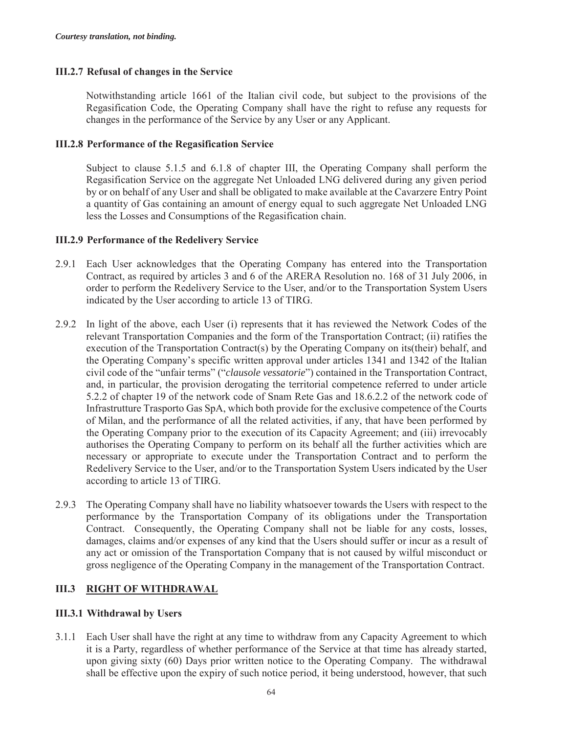### **III.2.7 Refusal of changes in the Service**

Notwithstanding article 1661 of the Italian civil code, but subject to the provisions of the Regasification Code, the Operating Company shall have the right to refuse any requests for changes in the performance of the Service by any User or any Applicant.

#### **III.2.8 Performance of the Regasification Service**

Subject to clause 5.1.5 and 6.1.8 of chapter III, the Operating Company shall perform the Regasification Service on the aggregate Net Unloaded LNG delivered during any given period by or on behalf of any User and shall be obligated to make available at the Cavarzere Entry Point a quantity of Gas containing an amount of energy equal to such aggregate Net Unloaded LNG less the Losses and Consumptions of the Regasification chain.

#### **III.2.9 Performance of the Redelivery Service**

- 2.9.1 Each User acknowledges that the Operating Company has entered into the Transportation Contract, as required by articles 3 and 6 of the ARERA Resolution no. 168 of 31 July 2006, in order to perform the Redelivery Service to the User, and/or to the Transportation System Users indicated by the User according to article 13 of TIRG.
- 2.9.2 In light of the above, each User (i) represents that it has reviewed the Network Codes of the relevant Transportation Companies and the form of the Transportation Contract; (ii) ratifies the execution of the Transportation Contract(s) by the Operating Company on its(their) behalf, and the Operating Company's specific written approval under articles 1341 and 1342 of the Italian civil code of the "unfair terms" ("*clausole vessatorie*") contained in the Transportation Contract, and, in particular, the provision derogating the territorial competence referred to under article 5.2.2 of chapter 19 of the network code of Snam Rete Gas and 18.6.2.2 of the network code of Infrastrutture Trasporto Gas SpA, which both provide for the exclusive competence of the Courts of Milan, and the performance of all the related activities, if any, that have been performed by the Operating Company prior to the execution of its Capacity Agreement; and (iii) irrevocably authorises the Operating Company to perform on its behalf all the further activities which are necessary or appropriate to execute under the Transportation Contract and to perform the Redelivery Service to the User, and/or to the Transportation System Users indicated by the User according to article 13 of TIRG.
- 2.9.3 The Operating Company shall have no liability whatsoever towards the Users with respect to the performance by the Transportation Company of its obligations under the Transportation Contract. Consequently, the Operating Company shall not be liable for any costs, losses, damages, claims and/or expenses of any kind that the Users should suffer or incur as a result of any act or omission of the Transportation Company that is not caused by wilful misconduct or gross negligence of the Operating Company in the management of the Transportation Contract.

# **III.3 RIGHT OF WITHDRAWAL**

### **III.3.1 Withdrawal by Users**

3.1.1 Each User shall have the right at any time to withdraw from any Capacity Agreement to which it is a Party, regardless of whether performance of the Service at that time has already started, upon giving sixty (60) Days prior written notice to the Operating Company. The withdrawal shall be effective upon the expiry of such notice period, it being understood, however, that such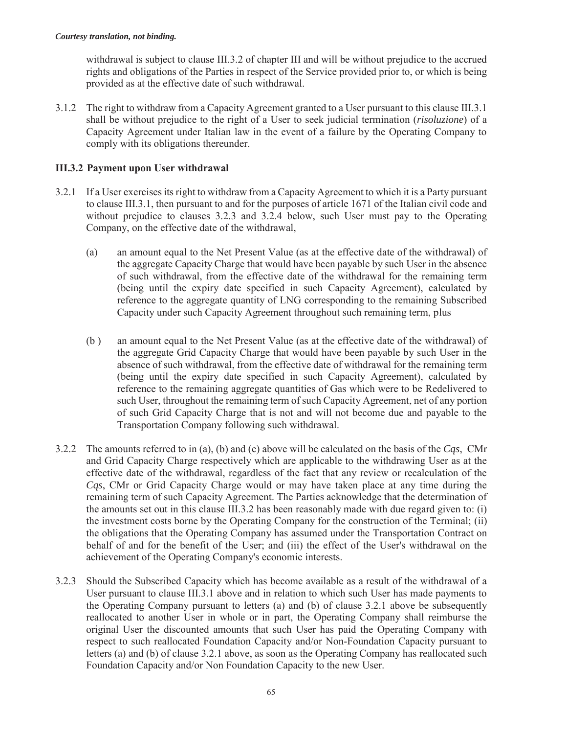withdrawal is subject to clause III.3.2 of chapter III and will be without prejudice to the accrued rights and obligations of the Parties in respect of the Service provided prior to, or which is being provided as at the effective date of such withdrawal.

3.1.2 The right to withdraw from a Capacity Agreement granted to a User pursuant to this clause III.3.1 shall be without prejudice to the right of a User to seek judicial termination (*risoluzione*) of a Capacity Agreement under Italian law in the event of a failure by the Operating Company to comply with its obligations thereunder.

## **III.3.2 Payment upon User withdrawal**

- 3.2.1 If a User exercises its right to withdraw from a Capacity Agreement to which it is a Party pursuant to clause III.3.1, then pursuant to and for the purposes of article 1671 of the Italian civil code and without prejudice to clauses 3.2.3 and 3.2.4 below, such User must pay to the Operating Company, on the effective date of the withdrawal,
	- (a) an amount equal to the Net Present Value (as at the effective date of the withdrawal) of the aggregate Capacity Charge that would have been payable by such User in the absence of such withdrawal, from the effective date of the withdrawal for the remaining term (being until the expiry date specified in such Capacity Agreement), calculated by reference to the aggregate quantity of LNG corresponding to the remaining Subscribed Capacity under such Capacity Agreement throughout such remaining term, plus
	- (b ) an amount equal to the Net Present Value (as at the effective date of the withdrawal) of the aggregate Grid Capacity Charge that would have been payable by such User in the absence of such withdrawal, from the effective date of withdrawal for the remaining term (being until the expiry date specified in such Capacity Agreement), calculated by reference to the remaining aggregate quantities of Gas which were to be Redelivered to such User, throughout the remaining term of such Capacity Agreement, net of any portion of such Grid Capacity Charge that is not and will not become due and payable to the Transportation Company following such withdrawal.
- 3.2.2 The amounts referred to in (a), (b) and (c) above will be calculated on the basis of the *Cqs*, CMr and Grid Capacity Charge respectively which are applicable to the withdrawing User as at the effective date of the withdrawal, regardless of the fact that any review or recalculation of the *Cqs*, CMr or Grid Capacity Charge would or may have taken place at any time during the remaining term of such Capacity Agreement. The Parties acknowledge that the determination of the amounts set out in this clause III.3.2 has been reasonably made with due regard given to: (i) the investment costs borne by the Operating Company for the construction of the Terminal; (ii) the obligations that the Operating Company has assumed under the Transportation Contract on behalf of and for the benefit of the User; and (iii) the effect of the User's withdrawal on the achievement of the Operating Company's economic interests.
- 3.2.3 Should the Subscribed Capacity which has become available as a result of the withdrawal of a User pursuant to clause III.3.1 above and in relation to which such User has made payments to the Operating Company pursuant to letters (a) and (b) of clause 3.2.1 above be subsequently reallocated to another User in whole or in part, the Operating Company shall reimburse the original User the discounted amounts that such User has paid the Operating Company with respect to such reallocated Foundation Capacity and/or Non-Foundation Capacity pursuant to letters (a) and (b) of clause 3.2.1 above, as soon as the Operating Company has reallocated such Foundation Capacity and/or Non Foundation Capacity to the new User.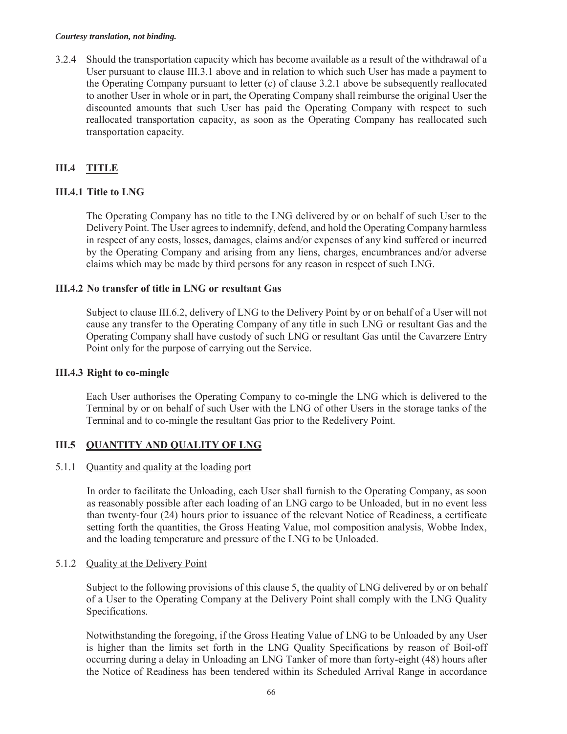#### *Courtesy translation, not binding.*

3.2.4 Should the transportation capacity which has become available as a result of the withdrawal of a User pursuant to clause III.3.1 above and in relation to which such User has made a payment to the Operating Company pursuant to letter (c) of clause 3.2.1 above be subsequently reallocated to another User in whole or in part, the Operating Company shall reimburse the original User the discounted amounts that such User has paid the Operating Company with respect to such reallocated transportation capacity, as soon as the Operating Company has reallocated such transportation capacity.

# **III.4 TITLE**

## **III.4.1 Title to LNG**

The Operating Company has no title to the LNG delivered by or on behalf of such User to the Delivery Point. The User agrees to indemnify, defend, and hold the Operating Company harmless in respect of any costs, losses, damages, claims and/or expenses of any kind suffered or incurred by the Operating Company and arising from any liens, charges, encumbrances and/or adverse claims which may be made by third persons for any reason in respect of such LNG.

### **III.4.2 No transfer of title in LNG or resultant Gas**

Subject to clause III.6.2, delivery of LNG to the Delivery Point by or on behalf of a User will not cause any transfer to the Operating Company of any title in such LNG or resultant Gas and the Operating Company shall have custody of such LNG or resultant Gas until the Cavarzere Entry Point only for the purpose of carrying out the Service.

#### **III.4.3 Right to co-mingle**

Each User authorises the Operating Company to co-mingle the LNG which is delivered to the Terminal by or on behalf of such User with the LNG of other Users in the storage tanks of the Terminal and to co-mingle the resultant Gas prior to the Redelivery Point.

### **III.5 QUANTITY AND QUALITY OF LNG**

### 5.1.1 Quantity and quality at the loading port

In order to facilitate the Unloading, each User shall furnish to the Operating Company, as soon as reasonably possible after each loading of an LNG cargo to be Unloaded, but in no event less than twenty-four (24) hours prior to issuance of the relevant Notice of Readiness, a certificate setting forth the quantities, the Gross Heating Value, mol composition analysis, Wobbe Index, and the loading temperature and pressure of the LNG to be Unloaded.

### 5.1.2 Quality at the Delivery Point

Subject to the following provisions of this clause 5, the quality of LNG delivered by or on behalf of a User to the Operating Company at the Delivery Point shall comply with the LNG Quality Specifications.

Notwithstanding the foregoing, if the Gross Heating Value of LNG to be Unloaded by any User is higher than the limits set forth in the LNG Quality Specifications by reason of Boil-off occurring during a delay in Unloading an LNG Tanker of more than forty-eight (48) hours after the Notice of Readiness has been tendered within its Scheduled Arrival Range in accordance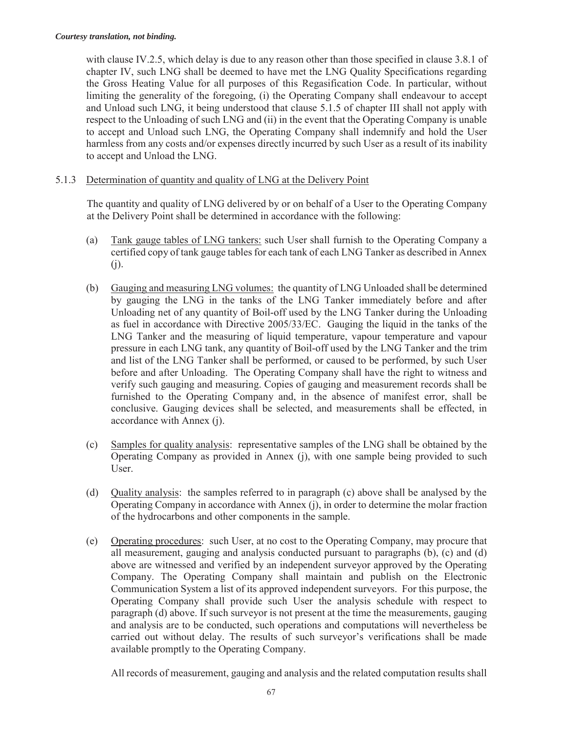with clause IV.2.5, which delay is due to any reason other than those specified in clause 3.8.1 of chapter IV, such LNG shall be deemed to have met the LNG Quality Specifications regarding the Gross Heating Value for all purposes of this Regasification Code. In particular, without limiting the generality of the foregoing, (i) the Operating Company shall endeavour to accept and Unload such LNG, it being understood that clause 5.1.5 of chapter III shall not apply with respect to the Unloading of such LNG and (ii) in the event that the Operating Company is unable to accept and Unload such LNG, the Operating Company shall indemnify and hold the User harmless from any costs and/or expenses directly incurred by such User as a result of its inability to accept and Unload the LNG.

### 5.1.3 Determination of quantity and quality of LNG at the Delivery Point

The quantity and quality of LNG delivered by or on behalf of a User to the Operating Company at the Delivery Point shall be determined in accordance with the following:

- (a) Tank gauge tables of LNG tankers: such User shall furnish to the Operating Company a certified copy of tank gauge tables for each tank of each LNG Tanker as described in Annex (j).
- (b) Gauging and measuring LNG volumes: the quantity of LNG Unloaded shall be determined by gauging the LNG in the tanks of the LNG Tanker immediately before and after Unloading net of any quantity of Boil-off used by the LNG Tanker during the Unloading as fuel in accordance with Directive 2005/33/EC. Gauging the liquid in the tanks of the LNG Tanker and the measuring of liquid temperature, vapour temperature and vapour pressure in each LNG tank, any quantity of Boil-off used by the LNG Tanker and the trim and list of the LNG Tanker shall be performed, or caused to be performed, by such User before and after Unloading. The Operating Company shall have the right to witness and verify such gauging and measuring. Copies of gauging and measurement records shall be furnished to the Operating Company and, in the absence of manifest error, shall be conclusive. Gauging devices shall be selected, and measurements shall be effected, in accordance with Annex (j).
- (c) Samples for quality analysis: representative samples of the LNG shall be obtained by the Operating Company as provided in Annex (j), with one sample being provided to such User.
- (d) Quality analysis: the samples referred to in paragraph (c) above shall be analysed by the Operating Company in accordance with Annex (j), in order to determine the molar fraction of the hydrocarbons and other components in the sample.
- (e) Operating procedures: such User, at no cost to the Operating Company, may procure that all measurement, gauging and analysis conducted pursuant to paragraphs (b), (c) and (d) above are witnessed and verified by an independent surveyor approved by the Operating Company. The Operating Company shall maintain and publish on the Electronic Communication System a list of its approved independent surveyors. For this purpose, the Operating Company shall provide such User the analysis schedule with respect to paragraph (d) above. If such surveyor is not present at the time the measurements, gauging and analysis are to be conducted, such operations and computations will nevertheless be carried out without delay. The results of such surveyor's verifications shall be made available promptly to the Operating Company.

All records of measurement, gauging and analysis and the related computation results shall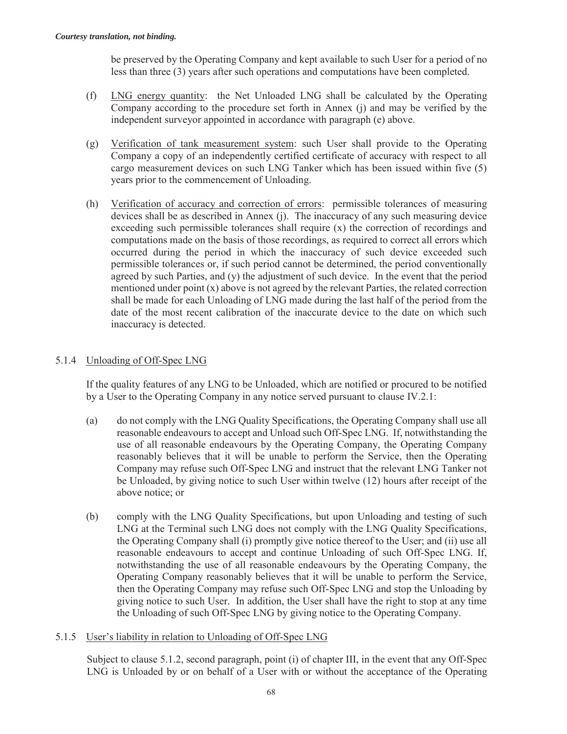be preserved by the Operating Company and kept available to such User for a period of no less than three (3) years after such operations and computations have been completed.

- (f) LNG energy quantity: the Net Unloaded LNG shall be calculated by the Operating Company according to the procedure set forth in Annex (j) and may be verified by the independent surveyor appointed in accordance with paragraph (e) above.
- (g) Verification of tank measurement system: such User shall provide to the Operating Company a copy of an independently certified certificate of accuracy with respect to all cargo measurement devices on such LNG Tanker which has been issued within five (5) years prior to the commencement of Unloading.
- (h) Verification of accuracy and correction of errors: permissible tolerances of measuring devices shall be as described in Annex (j). The inaccuracy of any such measuring device exceeding such permissible tolerances shall require (x) the correction of recordings and computations made on the basis of those recordings, as required to correct all errors which occurred during the period in which the inaccuracy of such device exceeded such permissible tolerances or, if such period cannot be determined, the period conventionally agreed by such Parties, and (y) the adjustment of such device. In the event that the period mentioned under point  $(x)$  above is not agreed by the relevant Parties, the related correction shall be made for each Unloading of LNG made during the last half of the period from the date of the most recent calibration of the inaccurate device to the date on which such inaccuracy is detected.

### 5.1.4 Unloading of Off-Spec LNG

If the quality features of any LNG to be Unloaded, which are notified or procured to be notified by a User to the Operating Company in any notice served pursuant to clause IV.2.1:

- (a) do not comply with the LNG Quality Specifications, the Operating Company shall use all reasonable endeavours to accept and Unload such Off-Spec LNG. If, notwithstanding the use of all reasonable endeavours by the Operating Company, the Operating Company reasonably believes that it will be unable to perform the Service, then the Operating Company may refuse such Off-Spec LNG and instruct that the relevant LNG Tanker not be Unloaded, by giving notice to such User within twelve (12) hours after receipt of the above notice; or
- (b) comply with the LNG Quality Specifications, but upon Unloading and testing of such LNG at the Terminal such LNG does not comply with the LNG Quality Specifications, the Operating Company shall (i) promptly give notice thereof to the User; and (ii) use all reasonable endeavours to accept and continue Unloading of such Off-Spec LNG. If, notwithstanding the use of all reasonable endeavours by the Operating Company, the Operating Company reasonably believes that it will be unable to perform the Service, then the Operating Company may refuse such Off-Spec LNG and stop the Unloading by giving notice to such User. In addition, the User shall have the right to stop at any time the Unloading of such Off-Spec LNG by giving notice to the Operating Company.

#### 5.1.5 User's liability in relation to Unloading of Off-Spec LNG

Subject to clause 5.1.2, second paragraph, point (i) of chapter III, in the event that any Off-Spec LNG is Unloaded by or on behalf of a User with or without the acceptance of the Operating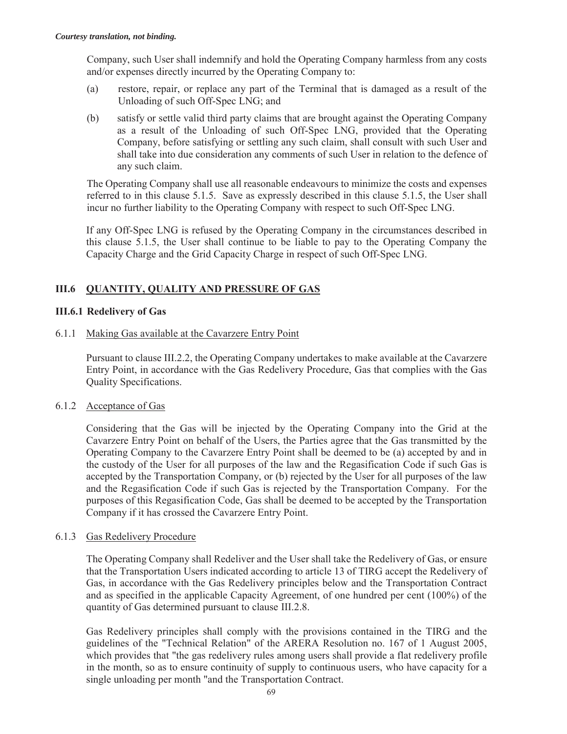Company, such User shall indemnify and hold the Operating Company harmless from any costs and/or expenses directly incurred by the Operating Company to:

- (a) restore, repair, or replace any part of the Terminal that is damaged as a result of the Unloading of such Off-Spec LNG; and
- (b) satisfy or settle valid third party claims that are brought against the Operating Company as a result of the Unloading of such Off-Spec LNG, provided that the Operating Company, before satisfying or settling any such claim, shall consult with such User and shall take into due consideration any comments of such User in relation to the defence of any such claim.

The Operating Company shall use all reasonable endeavours to minimize the costs and expenses referred to in this clause 5.1.5. Save as expressly described in this clause 5.1.5, the User shall incur no further liability to the Operating Company with respect to such Off-Spec LNG.

If any Off-Spec LNG is refused by the Operating Company in the circumstances described in this clause 5.1.5, the User shall continue to be liable to pay to the Operating Company the Capacity Charge and the Grid Capacity Charge in respect of such Off-Spec LNG.

## **III.6 QUANTITY, QUALITY AND PRESSURE OF GAS**

### **III.6.1 Redelivery of Gas**

6.1.1 Making Gas available at the Cavarzere Entry Point

Pursuant to clause III.2.2, the Operating Company undertakes to make available at the Cavarzere Entry Point, in accordance with the Gas Redelivery Procedure, Gas that complies with the Gas Quality Specifications.

#### 6.1.2 Acceptance of Gas

Considering that the Gas will be injected by the Operating Company into the Grid at the Cavarzere Entry Point on behalf of the Users, the Parties agree that the Gas transmitted by the Operating Company to the Cavarzere Entry Point shall be deemed to be (a) accepted by and in the custody of the User for all purposes of the law and the Regasification Code if such Gas is accepted by the Transportation Company, or (b) rejected by the User for all purposes of the law and the Regasification Code if such Gas is rejected by the Transportation Company. For the purposes of this Regasification Code, Gas shall be deemed to be accepted by the Transportation Company if it has crossed the Cavarzere Entry Point.

#### 6.1.3 Gas Redelivery Procedure

The Operating Company shall Redeliver and the User shall take the Redelivery of Gas, or ensure that the Transportation Users indicated according to article 13 of TIRG accept the Redelivery of Gas, in accordance with the Gas Redelivery principles below and the Transportation Contract and as specified in the applicable Capacity Agreement, of one hundred per cent (100%) of the quantity of Gas determined pursuant to clause III.2.8.

Gas Redelivery principles shall comply with the provisions contained in the TIRG and the guidelines of the "Technical Relation" of the ARERA Resolution no. 167 of 1 August 2005, which provides that "the gas redelivery rules among users shall provide a flat redelivery profile in the month, so as to ensure continuity of supply to continuous users, who have capacity for a single unloading per month "and the Transportation Contract.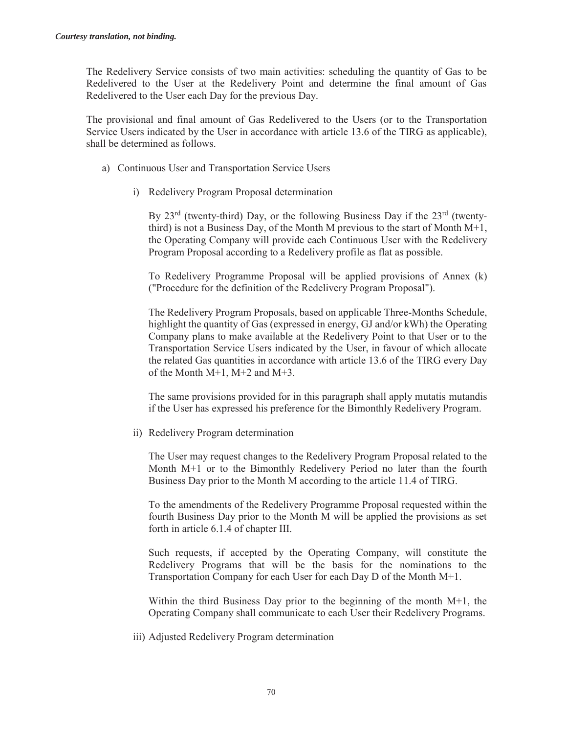The Redelivery Service consists of two main activities: scheduling the quantity of Gas to be Redelivered to the User at the Redelivery Point and determine the final amount of Gas Redelivered to the User each Day for the previous Day.

The provisional and final amount of Gas Redelivered to the Users (or to the Transportation Service Users indicated by the User in accordance with article 13.6 of the TIRG as applicable), shall be determined as follows.

- a) Continuous User and Transportation Service Users
	- i) Redelivery Program Proposal determination

By  $23<sup>rd</sup>$  (twenty-third) Day, or the following Business Day if the  $23<sup>rd</sup>$  (twentythird) is not a Business Day, of the Month M previous to the start of Month M+1, the Operating Company will provide each Continuous User with the Redelivery Program Proposal according to a Redelivery profile as flat as possible.

To Redelivery Programme Proposal will be applied provisions of Annex (k) ("Procedure for the definition of the Redelivery Program Proposal").

The Redelivery Program Proposals, based on applicable Three-Months Schedule, highlight the quantity of Gas (expressed in energy, GJ and/or kWh) the Operating Company plans to make available at the Redelivery Point to that User or to the Transportation Service Users indicated by the User, in favour of which allocate the related Gas quantities in accordance with article 13.6 of the TIRG every Day of the Month M+1, M+2 and M+3.

The same provisions provided for in this paragraph shall apply mutatis mutandis if the User has expressed his preference for the Bimonthly Redelivery Program.

ii) Redelivery Program determination

The User may request changes to the Redelivery Program Proposal related to the Month M+1 or to the Bimonthly Redelivery Period no later than the fourth Business Day prior to the Month M according to the article 11.4 of TIRG.

To the amendments of the Redelivery Programme Proposal requested within the fourth Business Day prior to the Month M will be applied the provisions as set forth in article 6.1.4 of chapter III.

Such requests, if accepted by the Operating Company, will constitute the Redelivery Programs that will be the basis for the nominations to the Transportation Company for each User for each Day D of the Month M+1.

Within the third Business Day prior to the beginning of the month  $M+1$ , the Operating Company shall communicate to each User their Redelivery Programs.

iii) Adjusted Redelivery Program determination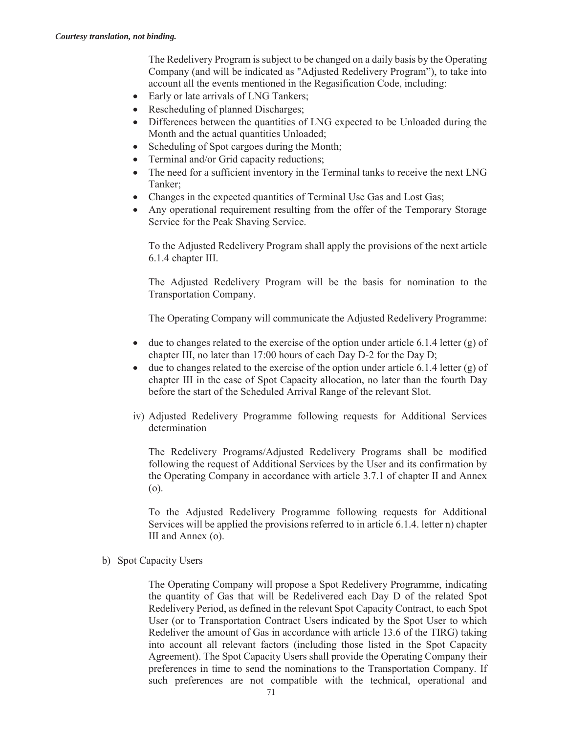The Redelivery Program is subject to be changed on a daily basis by the Operating Company (and will be indicated as "Adjusted Redelivery Program"), to take into account all the events mentioned in the Regasification Code, including:

- Early or late arrivals of LNG Tankers;
- Rescheduling of planned Discharges;
- Differences between the quantities of LNG expected to be Unloaded during the Month and the actual quantities Unloaded;
- Scheduling of Spot cargoes during the Month;
- Terminal and/or Grid capacity reductions;
- The need for a sufficient inventory in the Terminal tanks to receive the next LNG Tanker;
- Changes in the expected quantities of Terminal Use Gas and Lost Gas;
- Any operational requirement resulting from the offer of the Temporary Storage Service for the Peak Shaving Service.

To the Adjusted Redelivery Program shall apply the provisions of the next article 6.1.4 chapter III.

The Adjusted Redelivery Program will be the basis for nomination to the Transportation Company.

The Operating Company will communicate the Adjusted Redelivery Programme:

- $\bullet$  due to changes related to the exercise of the option under article 6.1.4 letter (g) of chapter III, no later than 17:00 hours of each Day D-2 for the Day D;
- $\bullet$  due to changes related to the exercise of the option under article 6.1.4 letter (g) of chapter III in the case of Spot Capacity allocation, no later than the fourth Day before the start of the Scheduled Arrival Range of the relevant Slot.
- iv) Adjusted Redelivery Programme following requests for Additional Services determination

The Redelivery Programs/Adjusted Redelivery Programs shall be modified following the request of Additional Services by the User and its confirmation by the Operating Company in accordance with article 3.7.1 of chapter II and Annex (o).

To the Adjusted Redelivery Programme following requests for Additional Services will be applied the provisions referred to in article 6.1.4. letter n) chapter III and Annex (o).

b) Spot Capacity Users

The Operating Company will propose a Spot Redelivery Programme, indicating the quantity of Gas that will be Redelivered each Day D of the related Spot Redelivery Period, as defined in the relevant Spot Capacity Contract, to each Spot User (or to Transportation Contract Users indicated by the Spot User to which Redeliver the amount of Gas in accordance with article 13.6 of the TIRG) taking into account all relevant factors (including those listed in the Spot Capacity Agreement). The Spot Capacity Users shall provide the Operating Company their preferences in time to send the nominations to the Transportation Company. If such preferences are not compatible with the technical, operational and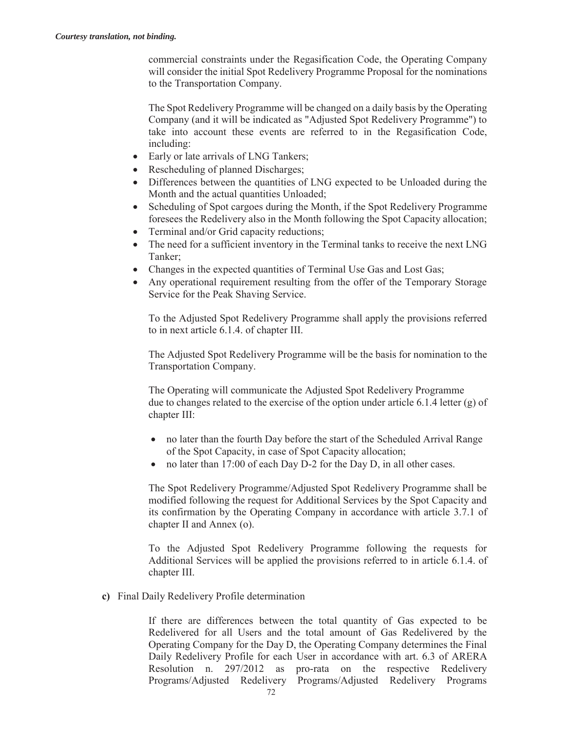commercial constraints under the Regasification Code, the Operating Company will consider the initial Spot Redelivery Programme Proposal for the nominations to the Transportation Company.

The Spot Redelivery Programme will be changed on a daily basis by the Operating Company (and it will be indicated as "Adjusted Spot Redelivery Programme") to take into account these events are referred to in the Regasification Code, including:

- Early or late arrivals of LNG Tankers;
- Rescheduling of planned Discharges;
- Differences between the quantities of LNG expected to be Unloaded during the Month and the actual quantities Unloaded;
- Scheduling of Spot cargoes during the Month, if the Spot Redelivery Programme foresees the Redelivery also in the Month following the Spot Capacity allocation;
- $\bullet$  Terminal and/or Grid capacity reductions;
- The need for a sufficient inventory in the Terminal tanks to receive the next LNG Tanker;
- Changes in the expected quantities of Terminal Use Gas and Lost Gas;
- Any operational requirement resulting from the offer of the Temporary Storage Service for the Peak Shaving Service.

To the Adjusted Spot Redelivery Programme shall apply the provisions referred to in next article 6.1.4. of chapter III.

The Adjusted Spot Redelivery Programme will be the basis for nomination to the Transportation Company.

The Operating will communicate the Adjusted Spot Redelivery Programme due to changes related to the exercise of the option under article 6.1.4 letter (g) of chapter III:

- no later than the fourth Day before the start of the Scheduled Arrival Range of the Spot Capacity, in case of Spot Capacity allocation;
- no later than 17:00 of each Day D-2 for the Day D, in all other cases.

The Spot Redelivery Programme/Adjusted Spot Redelivery Programme shall be modified following the request for Additional Services by the Spot Capacity and its confirmation by the Operating Company in accordance with article 3.7.1 of chapter II and Annex (o).

To the Adjusted Spot Redelivery Programme following the requests for Additional Services will be applied the provisions referred to in article 6.1.4. of chapter III.

**c)** Final Daily Redelivery Profile determination

If there are differences between the total quantity of Gas expected to be Redelivered for all Users and the total amount of Gas Redelivered by the Operating Company for the Day D, the Operating Company determines the Final Daily Redelivery Profile for each User in accordance with art. 6.3 of ARERA Resolution n. 297/2012 as pro-rata on the respective Redelivery Programs/Adjusted Redelivery Programs/Adjusted Redelivery Programs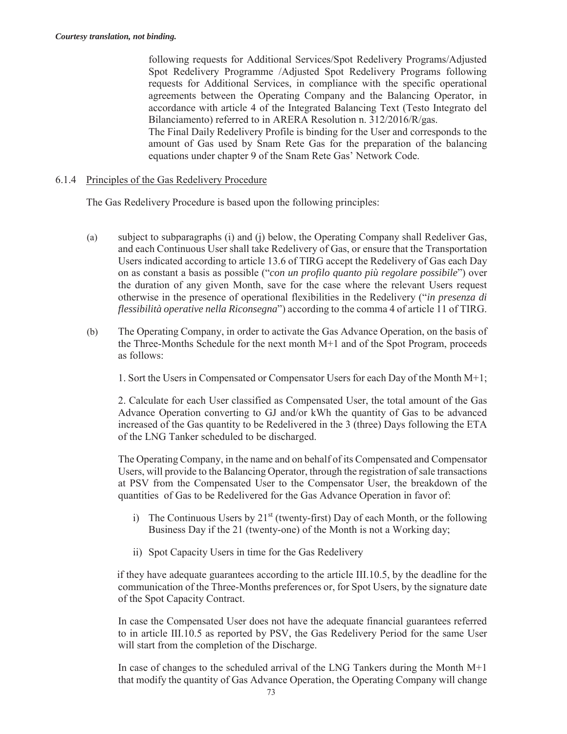following requests for Additional Services/Spot Redelivery Programs/Adjusted Spot Redelivery Programme /Adjusted Spot Redelivery Programs following requests for Additional Services, in compliance with the specific operational agreements between the Operating Company and the Balancing Operator, in accordance with article 4 of the Integrated Balancing Text (Testo Integrato del Bilanciamento) referred to in ARERA Resolution n. 312/2016/R/gas.

The Final Daily Redelivery Profile is binding for the User and corresponds to the amount of Gas used by Snam Rete Gas for the preparation of the balancing equations under chapter 9 of the Snam Rete Gas' Network Code.

#### 6.1.4 Principles of the Gas Redelivery Procedure

The Gas Redelivery Procedure is based upon the following principles:

- (a) subject to subparagraphs (i) and (j) below, the Operating Company shall Redeliver Gas, and each Continuous User shall take Redelivery of Gas, or ensure that the Transportation Users indicated according to article 13.6 of TIRG accept the Redelivery of Gas each Day on as constant a basis as possible ("*con un profilo quanto più regolare possibile*") over the duration of any given Month, save for the case where the relevant Users request otherwise in the presence of operational flexibilities in the Redelivery ("*in presenza di flessibilità operative nella Riconsegna*") according to the comma 4 of article 11 of TIRG.
- (b) The Operating Company, in order to activate the Gas Advance Operation, on the basis of the Three-Months Schedule for the next month M+1 and of the Spot Program, proceeds as follows:

1. Sort the Users in Compensated or Compensator Users for each Day of the Month M+1;

2. Calculate for each User classified as Compensated User, the total amount of the Gas Advance Operation converting to GJ and/or kWh the quantity of Gas to be advanced increased of the Gas quantity to be Redelivered in the 3 (three) Days following the ETA of the LNG Tanker scheduled to be discharged.

The Operating Company, in the name and on behalf of its Compensated and Compensator Users, will provide to the Balancing Operator, through the registration of sale transactions at PSV from the Compensated User to the Compensator User, the breakdown of the quantities of Gas to be Redelivered for the Gas Advance Operation in favor of:

- i) The Continuous Users by  $21<sup>st</sup>$  (twenty-first) Day of each Month, or the following Business Day if the 21 (twenty-one) of the Month is not a Working day;
- ii) Spot Capacity Users in time for the Gas Redelivery

if they have adequate guarantees according to the article III.10.5, by the deadline for the communication of the Three-Months preferences or, for Spot Users, by the signature date of the Spot Capacity Contract.

In case the Compensated User does not have the adequate financial guarantees referred to in article III.10.5 as reported by PSV, the Gas Redelivery Period for the same User will start from the completion of the Discharge.

In case of changes to the scheduled arrival of the LNG Tankers during the Month M+1 that modify the quantity of Gas Advance Operation, the Operating Company will change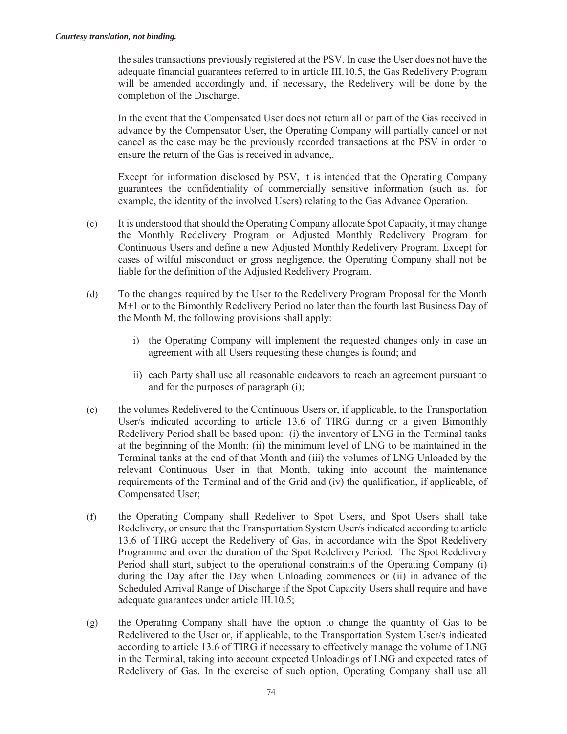the sales transactions previously registered at the PSV. In case the User does not have the adequate financial guarantees referred to in article III.10.5, the Gas Redelivery Program will be amended accordingly and, if necessary, the Redelivery will be done by the completion of the Discharge.

In the event that the Compensated User does not return all or part of the Gas received in advance by the Compensator User, the Operating Company will partially cancel or not cancel as the case may be the previously recorded transactions at the PSV in order to ensure the return of the Gas is received in advance,.

Except for information disclosed by PSV, it is intended that the Operating Company guarantees the confidentiality of commercially sensitive information (such as, for example, the identity of the involved Users) relating to the Gas Advance Operation.

- (c) It is understood that should the Operating Company allocate Spot Capacity, it may change the Monthly Redelivery Program or Adjusted Monthly Redelivery Program for Continuous Users and define a new Adjusted Monthly Redelivery Program. Except for cases of wilful misconduct or gross negligence, the Operating Company shall not be liable for the definition of the Adjusted Redelivery Program.
- (d) To the changes required by the User to the Redelivery Program Proposal for the Month M+1 or to the Bimonthly Redelivery Period no later than the fourth last Business Day of the Month M, the following provisions shall apply:
	- i) the Operating Company will implement the requested changes only in case an agreement with all Users requesting these changes is found; and
	- ii) each Party shall use all reasonable endeavors to reach an agreement pursuant to and for the purposes of paragraph (i);
- (e) the volumes Redelivered to the Continuous Users or, if applicable, to the Transportation User/s indicated according to article 13.6 of TIRG during or a given Bimonthly Redelivery Period shall be based upon: (i) the inventory of LNG in the Terminal tanks at the beginning of the Month; (ii) the minimum level of LNG to be maintained in the Terminal tanks at the end of that Month and (iii) the volumes of LNG Unloaded by the relevant Continuous User in that Month, taking into account the maintenance requirements of the Terminal and of the Grid and (iv) the qualification, if applicable, of Compensated User;
- (f) the Operating Company shall Redeliver to Spot Users, and Spot Users shall take Redelivery, or ensure that the Transportation System User/s indicated according to article 13.6 of TIRG accept the Redelivery of Gas, in accordance with the Spot Redelivery Programme and over the duration of the Spot Redelivery Period. The Spot Redelivery Period shall start, subject to the operational constraints of the Operating Company (i) during the Day after the Day when Unloading commences or (ii) in advance of the Scheduled Arrival Range of Discharge if the Spot Capacity Users shall require and have adequate guarantees under article III.10.5;
- (g) the Operating Company shall have the option to change the quantity of Gas to be Redelivered to the User or, if applicable, to the Transportation System User/s indicated according to article 13.6 of TIRG if necessary to effectively manage the volume of LNG in the Terminal, taking into account expected Unloadings of LNG and expected rates of Redelivery of Gas. In the exercise of such option, Operating Company shall use all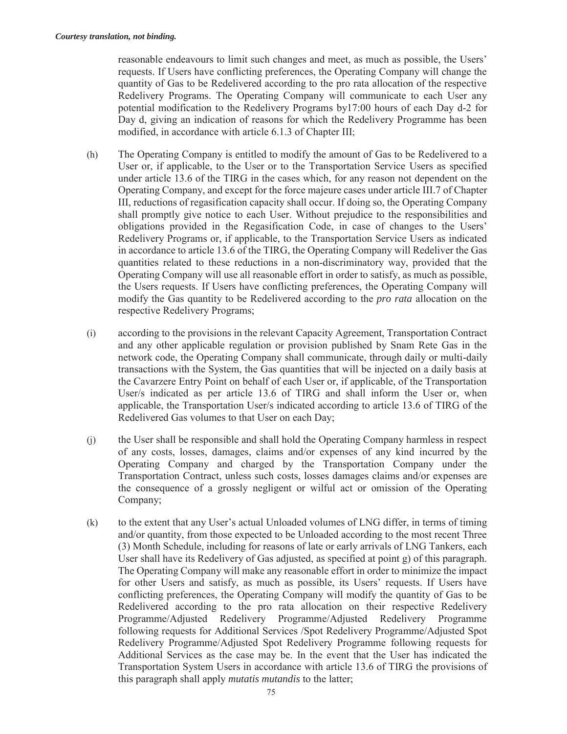reasonable endeavours to limit such changes and meet, as much as possible, the Users' requests. If Users have conflicting preferences, the Operating Company will change the quantity of Gas to be Redelivered according to the pro rata allocation of the respective Redelivery Programs. The Operating Company will communicate to each User any potential modification to the Redelivery Programs by17:00 hours of each Day d-2 for Day d, giving an indication of reasons for which the Redelivery Programme has been modified, in accordance with article 6.1.3 of Chapter III;

- (h) The Operating Company is entitled to modify the amount of Gas to be Redelivered to a User or, if applicable, to the User or to the Transportation Service Users as specified under article 13.6 of the TIRG in the cases which, for any reason not dependent on the Operating Company, and except for the force majeure cases under article III.7 of Chapter III, reductions of regasification capacity shall occur. If doing so, the Operating Company shall promptly give notice to each User. Without prejudice to the responsibilities and obligations provided in the Regasification Code, in case of changes to the Users' Redelivery Programs or, if applicable, to the Transportation Service Users as indicated in accordance to article 13.6 of the TIRG, the Operating Company will Redeliver the Gas quantities related to these reductions in a non-discriminatory way, provided that the Operating Company will use all reasonable effort in order to satisfy, as much as possible, the Users requests. If Users have conflicting preferences, the Operating Company will modify the Gas quantity to be Redelivered according to the *pro rata* allocation on the respective Redelivery Programs;
- (i) according to the provisions in the relevant Capacity Agreement, Transportation Contract and any other applicable regulation or provision published by Snam Rete Gas in the network code, the Operating Company shall communicate, through daily or multi-daily transactions with the System, the Gas quantities that will be injected on a daily basis at the Cavarzere Entry Point on behalf of each User or, if applicable, of the Transportation User/s indicated as per article 13.6 of TIRG and shall inform the User or, when applicable, the Transportation User/s indicated according to article 13.6 of TIRG of the Redelivered Gas volumes to that User on each Day;
- (j) the User shall be responsible and shall hold the Operating Company harmless in respect of any costs, losses, damages, claims and/or expenses of any kind incurred by the Operating Company and charged by the Transportation Company under the Transportation Contract, unless such costs, losses damages claims and/or expenses are the consequence of a grossly negligent or wilful act or omission of the Operating Company;
- (k) to the extent that any User's actual Unloaded volumes of LNG differ, in terms of timing and/or quantity, from those expected to be Unloaded according to the most recent Three (3) Month Schedule, including for reasons of late or early arrivals of LNG Tankers, each User shall have its Redelivery of Gas adjusted, as specified at point g) of this paragraph. The Operating Company will make any reasonable effort in order to minimize the impact for other Users and satisfy, as much as possible, its Users' requests. If Users have conflicting preferences, the Operating Company will modify the quantity of Gas to be Redelivered according to the pro rata allocation on their respective Redelivery Programme/Adjusted Redelivery Programme/Adjusted Redelivery Programme following requests for Additional Services /Spot Redelivery Programme/Adjusted Spot Redelivery Programme/Adjusted Spot Redelivery Programme following requests for Additional Services as the case may be. In the event that the User has indicated the Transportation System Users in accordance with article 13.6 of TIRG the provisions of this paragraph shall apply *mutatis mutandis* to the latter;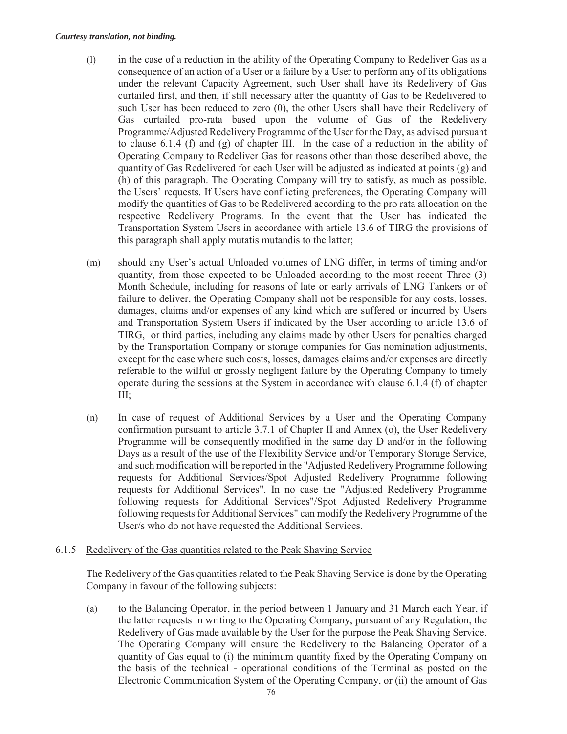#### *Courtesy translation, not binding.*

- (l) in the case of a reduction in the ability of the Operating Company to Redeliver Gas as a consequence of an action of a User or a failure by a User to perform any of its obligations under the relevant Capacity Agreement, such User shall have its Redelivery of Gas curtailed first, and then, if still necessary after the quantity of Gas to be Redelivered to such User has been reduced to zero (0), the other Users shall have their Redelivery of Gas curtailed pro-rata based upon the volume of Gas of the Redelivery Programme/Adjusted Redelivery Programme of the User for the Day, as advised pursuant to clause 6.1.4 (f) and (g) of chapter III. In the case of a reduction in the ability of Operating Company to Redeliver Gas for reasons other than those described above, the quantity of Gas Redelivered for each User will be adjusted as indicated at points (g) and (h) of this paragraph. The Operating Company will try to satisfy, as much as possible, the Users' requests. If Users have conflicting preferences, the Operating Company will modify the quantities of Gas to be Redelivered according to the pro rata allocation on the respective Redelivery Programs. In the event that the User has indicated the Transportation System Users in accordance with article 13.6 of TIRG the provisions of this paragraph shall apply mutatis mutandis to the latter;
- (m) should any User's actual Unloaded volumes of LNG differ, in terms of timing and/or quantity, from those expected to be Unloaded according to the most recent Three (3) Month Schedule, including for reasons of late or early arrivals of LNG Tankers or of failure to deliver, the Operating Company shall not be responsible for any costs, losses, damages, claims and/or expenses of any kind which are suffered or incurred by Users and Transportation System Users if indicated by the User according to article 13.6 of TIRG, or third parties, including any claims made by other Users for penalties charged by the Transportation Company or storage companies for Gas nomination adjustments, except for the case where such costs, losses, damages claims and/or expenses are directly referable to the wilful or grossly negligent failure by the Operating Company to timely operate during the sessions at the System in accordance with clause 6.1.4 (f) of chapter III;
- (n) In case of request of Additional Services by a User and the Operating Company confirmation pursuant to article 3.7.1 of Chapter II and Annex (o), the User Redelivery Programme will be consequently modified in the same day D and/or in the following Days as a result of the use of the Flexibility Service and/or Temporary Storage Service, and such modification will be reported in the "Adjusted Redelivery Programme following requests for Additional Services/Spot Adjusted Redelivery Programme following requests for Additional Services". In no case the "Adjusted Redelivery Programme following requests for Additional Services"/Spot Adjusted Redelivery Programme following requests for Additional Services" can modify the Redelivery Programme of the User/s who do not have requested the Additional Services.

### 6.1.5 Redelivery of the Gas quantities related to the Peak Shaving Service

The Redelivery of the Gas quantities related to the Peak Shaving Service is done by the Operating Company in favour of the following subjects:

(a) to the Balancing Operator, in the period between 1 January and 31 March each Year, if the latter requests in writing to the Operating Company, pursuant of any Regulation, the Redelivery of Gas made available by the User for the purpose the Peak Shaving Service. The Operating Company will ensure the Redelivery to the Balancing Operator of a quantity of Gas equal to (i) the minimum quantity fixed by the Operating Company on the basis of the technical - operational conditions of the Terminal as posted on the Electronic Communication System of the Operating Company, or (ii) the amount of Gas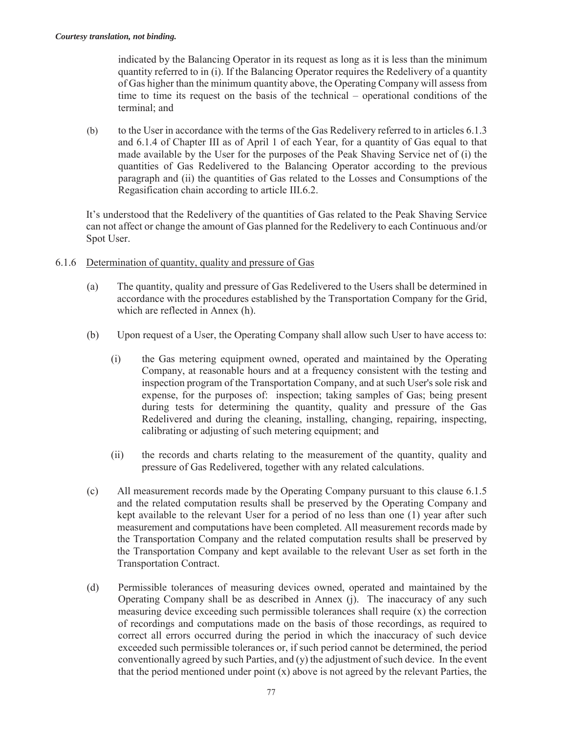indicated by the Balancing Operator in its request as long as it is less than the minimum quantity referred to in (i). If the Balancing Operator requires the Redelivery of a quantity of Gas higher than the minimum quantity above, the Operating Company will assess from time to time its request on the basis of the technical – operational conditions of the terminal; and

(b) to the User in accordance with the terms of the Gas Redelivery referred to in articles 6.1.3 and 6.1.4 of Chapter III as of April 1 of each Year, for a quantity of Gas equal to that made available by the User for the purposes of the Peak Shaving Service net of (i) the quantities of Gas Redelivered to the Balancing Operator according to the previous paragraph and (ii) the quantities of Gas related to the Losses and Consumptions of the Regasification chain according to article III.6.2.

It's understood that the Redelivery of the quantities of Gas related to the Peak Shaving Service can not affect or change the amount of Gas planned for the Redelivery to each Continuous and/or Spot User.

- 6.1.6 Determination of quantity, quality and pressure of Gas
	- (a) The quantity, quality and pressure of Gas Redelivered to the Users shall be determined in accordance with the procedures established by the Transportation Company for the Grid, which are reflected in Annex (h).
	- (b) Upon request of a User, the Operating Company shall allow such User to have access to:
		- (i) the Gas metering equipment owned, operated and maintained by the Operating Company, at reasonable hours and at a frequency consistent with the testing and inspection program of the Transportation Company, and at such User's sole risk and expense, for the purposes of: inspection; taking samples of Gas; being present during tests for determining the quantity, quality and pressure of the Gas Redelivered and during the cleaning, installing, changing, repairing, inspecting, calibrating or adjusting of such metering equipment; and
		- (ii) the records and charts relating to the measurement of the quantity, quality and pressure of Gas Redelivered, together with any related calculations.
	- (c) All measurement records made by the Operating Company pursuant to this clause 6.1.5 and the related computation results shall be preserved by the Operating Company and kept available to the relevant User for a period of no less than one (1) year after such measurement and computations have been completed. All measurement records made by the Transportation Company and the related computation results shall be preserved by the Transportation Company and kept available to the relevant User as set forth in the Transportation Contract.
	- (d) Permissible tolerances of measuring devices owned, operated and maintained by the Operating Company shall be as described in Annex (j). The inaccuracy of any such measuring device exceeding such permissible tolerances shall require (x) the correction of recordings and computations made on the basis of those recordings, as required to correct all errors occurred during the period in which the inaccuracy of such device exceeded such permissible tolerances or, if such period cannot be determined, the period conventionally agreed by such Parties, and (y) the adjustment of such device. In the event that the period mentioned under point  $(x)$  above is not agreed by the relevant Parties, the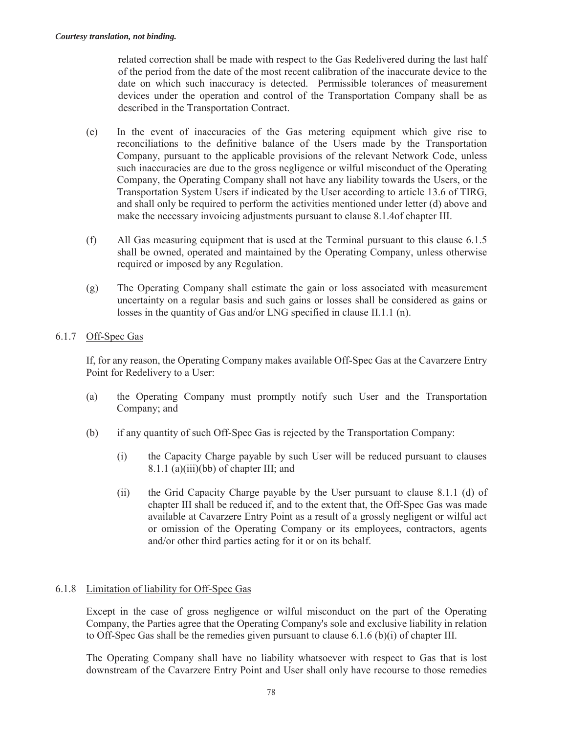related correction shall be made with respect to the Gas Redelivered during the last half of the period from the date of the most recent calibration of the inaccurate device to the date on which such inaccuracy is detected. Permissible tolerances of measurement devices under the operation and control of the Transportation Company shall be as described in the Transportation Contract.

- (e) In the event of inaccuracies of the Gas metering equipment which give rise to reconciliations to the definitive balance of the Users made by the Transportation Company, pursuant to the applicable provisions of the relevant Network Code, unless such inaccuracies are due to the gross negligence or wilful misconduct of the Operating Company, the Operating Company shall not have any liability towards the Users, or the Transportation System Users if indicated by the User according to article 13.6 of TIRG, and shall only be required to perform the activities mentioned under letter (d) above and make the necessary invoicing adjustments pursuant to clause 8.1.4of chapter III.
- (f) All Gas measuring equipment that is used at the Terminal pursuant to this clause 6.1.5 shall be owned, operated and maintained by the Operating Company, unless otherwise required or imposed by any Regulation.
- (g) The Operating Company shall estimate the gain or loss associated with measurement uncertainty on a regular basis and such gains or losses shall be considered as gains or losses in the quantity of Gas and/or LNG specified in clause II.1.1 (n).

# 6.1.7 Off-Spec Gas

If, for any reason, the Operating Company makes available Off-Spec Gas at the Cavarzere Entry Point for Redelivery to a User:

- (a) the Operating Company must promptly notify such User and the Transportation Company; and
- (b) if any quantity of such Off-Spec Gas is rejected by the Transportation Company:
	- (i) the Capacity Charge payable by such User will be reduced pursuant to clauses 8.1.1 (a)(iii)(bb) of chapter III; and
	- (ii) the Grid Capacity Charge payable by the User pursuant to clause 8.1.1 (d) of chapter III shall be reduced if, and to the extent that, the Off-Spec Gas was made available at Cavarzere Entry Point as a result of a grossly negligent or wilful act or omission of the Operating Company or its employees, contractors, agents and/or other third parties acting for it or on its behalf.

# 6.1.8 Limitation of liability for Off-Spec Gas

Except in the case of gross negligence or wilful misconduct on the part of the Operating Company, the Parties agree that the Operating Company's sole and exclusive liability in relation to Off-Spec Gas shall be the remedies given pursuant to clause 6.1.6 (b)(i) of chapter III.

The Operating Company shall have no liability whatsoever with respect to Gas that is lost downstream of the Cavarzere Entry Point and User shall only have recourse to those remedies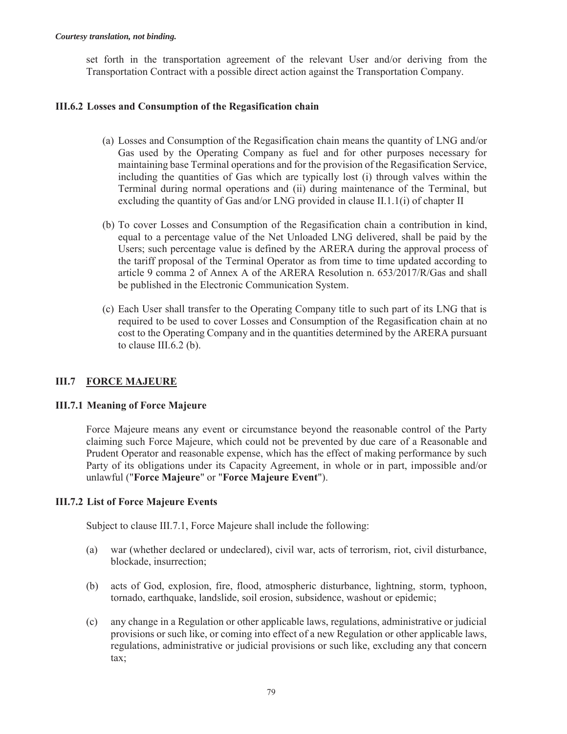set forth in the transportation agreement of the relevant User and/or deriving from the Transportation Contract with a possible direct action against the Transportation Company.

#### **III.6.2 Losses and Consumption of the Regasification chain**

- (a) Losses and Consumption of the Regasification chain means the quantity of LNG and/or Gas used by the Operating Company as fuel and for other purposes necessary for maintaining base Terminal operations and for the provision of the Regasification Service, including the quantities of Gas which are typically lost (i) through valves within the Terminal during normal operations and (ii) during maintenance of the Terminal, but excluding the quantity of Gas and/or LNG provided in clause II.1.1(i) of chapter II
- (b) To cover Losses and Consumption of the Regasification chain a contribution in kind, equal to a percentage value of the Net Unloaded LNG delivered, shall be paid by the Users; such percentage value is defined by the ARERA during the approval process of the tariff proposal of the Terminal Operator as from time to time updated according to article 9 comma 2 of Annex A of the ARERA Resolution n. 653/2017/R/Gas and shall be published in the Electronic Communication System.
- (c) Each User shall transfer to the Operating Company title to such part of its LNG that is required to be used to cover Losses and Consumption of the Regasification chain at no cost to the Operating Company and in the quantities determined by the ARERA pursuant to clause III.6.2 (b).

### **III.7 FORCE MAJEURE**

#### **III.7.1 Meaning of Force Majeure**

Force Majeure means any event or circumstance beyond the reasonable control of the Party claiming such Force Majeure, which could not be prevented by due care of a Reasonable and Prudent Operator and reasonable expense, which has the effect of making performance by such Party of its obligations under its Capacity Agreement, in whole or in part, impossible and/or unlawful ("**Force Majeure**" or "**Force Majeure Event**").

### **III.7.2 List of Force Majeure Events**

Subject to clause III.7.1, Force Majeure shall include the following:

- (a) war (whether declared or undeclared), civil war, acts of terrorism, riot, civil disturbance, blockade, insurrection;
- (b) acts of God, explosion, fire, flood, atmospheric disturbance, lightning, storm, typhoon, tornado, earthquake, landslide, soil erosion, subsidence, washout or epidemic;
- (c) any change in a Regulation or other applicable laws, regulations, administrative or judicial provisions or such like, or coming into effect of a new Regulation or other applicable laws, regulations, administrative or judicial provisions or such like, excluding any that concern tax;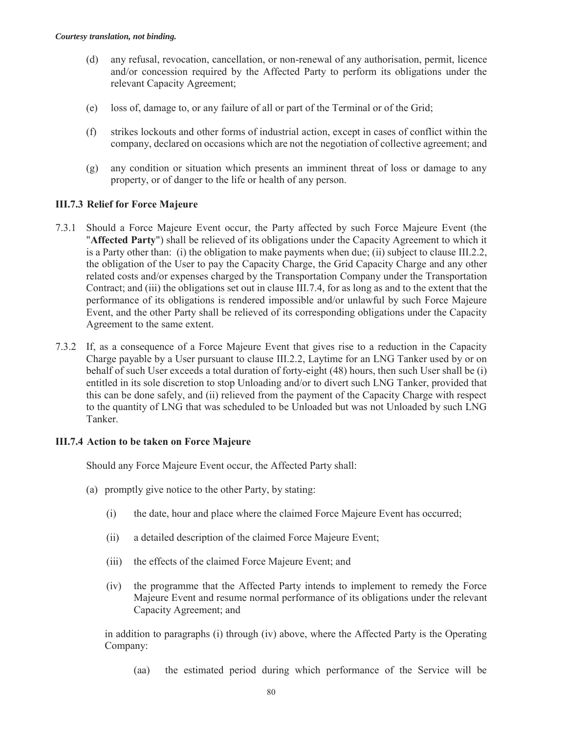- (d) any refusal, revocation, cancellation, or non-renewal of any authorisation, permit, licence and/or concession required by the Affected Party to perform its obligations under the relevant Capacity Agreement;
- (e) loss of, damage to, or any failure of all or part of the Terminal or of the Grid;
- (f) strikes lockouts and other forms of industrial action, except in cases of conflict within the company, declared on occasions which are not the negotiation of collective agreement; and
- (g) any condition or situation which presents an imminent threat of loss or damage to any property, or of danger to the life or health of any person.

### **III.7.3 Relief for Force Majeure**

- 7.3.1 Should a Force Majeure Event occur, the Party affected by such Force Majeure Event (the "**Affected Party**") shall be relieved of its obligations under the Capacity Agreement to which it is a Party other than: (i) the obligation to make payments when due; (ii) subject to clause III.2.2, the obligation of the User to pay the Capacity Charge, the Grid Capacity Charge and any other related costs and/or expenses charged by the Transportation Company under the Transportation Contract; and (iii) the obligations set out in clause III.7.4, for as long as and to the extent that the performance of its obligations is rendered impossible and/or unlawful by such Force Majeure Event, and the other Party shall be relieved of its corresponding obligations under the Capacity Agreement to the same extent.
- 7.3.2 If, as a consequence of a Force Majeure Event that gives rise to a reduction in the Capacity Charge payable by a User pursuant to clause III.2.2, Laytime for an LNG Tanker used by or on behalf of such User exceeds a total duration of forty-eight (48) hours, then such User shall be (i) entitled in its sole discretion to stop Unloading and/or to divert such LNG Tanker, provided that this can be done safely, and (ii) relieved from the payment of the Capacity Charge with respect to the quantity of LNG that was scheduled to be Unloaded but was not Unloaded by such LNG Tanker.

#### **III.7.4 Action to be taken on Force Majeure**

Should any Force Majeure Event occur, the Affected Party shall:

- (a) promptly give notice to the other Party, by stating:
	- (i) the date, hour and place where the claimed Force Majeure Event has occurred;
	- (ii) a detailed description of the claimed Force Majeure Event;
	- (iii) the effects of the claimed Force Majeure Event; and
	- (iv) the programme that the Affected Party intends to implement to remedy the Force Majeure Event and resume normal performance of its obligations under the relevant Capacity Agreement; and

in addition to paragraphs (i) through (iv) above, where the Affected Party is the Operating Company:

(aa) the estimated period during which performance of the Service will be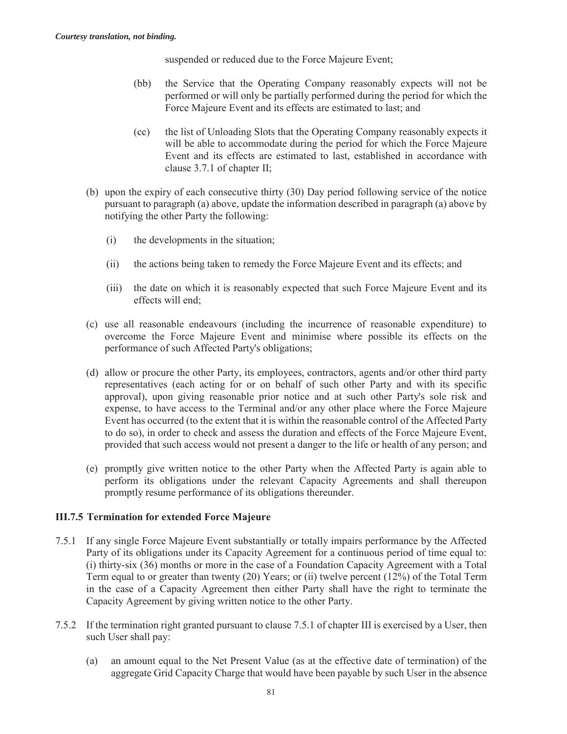suspended or reduced due to the Force Majeure Event;

- (bb) the Service that the Operating Company reasonably expects will not be performed or will only be partially performed during the period for which the Force Majeure Event and its effects are estimated to last; and
- (cc) the list of Unloading Slots that the Operating Company reasonably expects it will be able to accommodate during the period for which the Force Majeure Event and its effects are estimated to last, established in accordance with clause 3.7.1 of chapter II;
- (b) upon the expiry of each consecutive thirty (30) Day period following service of the notice pursuant to paragraph (a) above, update the information described in paragraph (a) above by notifying the other Party the following:
	- (i) the developments in the situation;
	- (ii) the actions being taken to remedy the Force Majeure Event and its effects; and
	- (iii) the date on which it is reasonably expected that such Force Majeure Event and its effects will end;
- (c) use all reasonable endeavours (including the incurrence of reasonable expenditure) to overcome the Force Majeure Event and minimise where possible its effects on the performance of such Affected Party's obligations;
- (d) allow or procure the other Party, its employees, contractors, agents and/or other third party representatives (each acting for or on behalf of such other Party and with its specific approval), upon giving reasonable prior notice and at such other Party's sole risk and expense, to have access to the Terminal and/or any other place where the Force Majeure Event has occurred (to the extent that it is within the reasonable control of the Affected Party to do so), in order to check and assess the duration and effects of the Force Majeure Event, provided that such access would not present a danger to the life or health of any person; and
- (e) promptly give written notice to the other Party when the Affected Party is again able to perform its obligations under the relevant Capacity Agreements and shall thereupon promptly resume performance of its obligations thereunder.

### **III.7.5 Termination for extended Force Majeure**

- 7.5.1 If any single Force Majeure Event substantially or totally impairs performance by the Affected Party of its obligations under its Capacity Agreement for a continuous period of time equal to: (i) thirty-six (36) months or more in the case of a Foundation Capacity Agreement with a Total Term equal to or greater than twenty (20) Years; or (ii) twelve percent (12%) of the Total Term in the case of a Capacity Agreement then either Party shall have the right to terminate the Capacity Agreement by giving written notice to the other Party.
- 7.5.2 If the termination right granted pursuant to clause 7.5.1 of chapter III is exercised by a User, then such User shall pay:
	- (a) an amount equal to the Net Present Value (as at the effective date of termination) of the aggregate Grid Capacity Charge that would have been payable by such User in the absence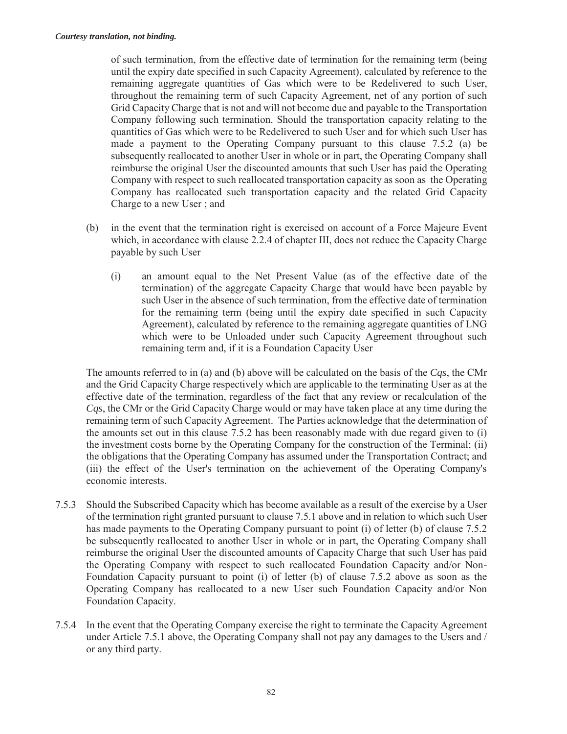of such termination, from the effective date of termination for the remaining term (being until the expiry date specified in such Capacity Agreement), calculated by reference to the remaining aggregate quantities of Gas which were to be Redelivered to such User, throughout the remaining term of such Capacity Agreement, net of any portion of such Grid Capacity Charge that is not and will not become due and payable to the Transportation Company following such termination. Should the transportation capacity relating to the quantities of Gas which were to be Redelivered to such User and for which such User has made a payment to the Operating Company pursuant to this clause 7.5.2 (a) be subsequently reallocated to another User in whole or in part, the Operating Company shall reimburse the original User the discounted amounts that such User has paid the Operating Company with respect to such reallocated transportation capacity as soon as the Operating Company has reallocated such transportation capacity and the related Grid Capacity Charge to a new User ; and

- (b) in the event that the termination right is exercised on account of a Force Majeure Event which, in accordance with clause 2.2.4 of chapter III, does not reduce the Capacity Charge payable by such User
	- (i) an amount equal to the Net Present Value (as of the effective date of the termination) of the aggregate Capacity Charge that would have been payable by such User in the absence of such termination, from the effective date of termination for the remaining term (being until the expiry date specified in such Capacity Agreement), calculated by reference to the remaining aggregate quantities of LNG which were to be Unloaded under such Capacity Agreement throughout such remaining term and, if it is a Foundation Capacity User

The amounts referred to in (a) and (b) above will be calculated on the basis of the *Cqs*, the CMr and the Grid Capacity Charge respectively which are applicable to the terminating User as at the effective date of the termination, regardless of the fact that any review or recalculation of the *Cqs*, the CMr or the Grid Capacity Charge would or may have taken place at any time during the remaining term of such Capacity Agreement. The Parties acknowledge that the determination of the amounts set out in this clause 7.5.2 has been reasonably made with due regard given to (i) the investment costs borne by the Operating Company for the construction of the Terminal; (ii) the obligations that the Operating Company has assumed under the Transportation Contract; and (iii) the effect of the User's termination on the achievement of the Operating Company's economic interests.

- 7.5.3 Should the Subscribed Capacity which has become available as a result of the exercise by a User of the termination right granted pursuant to clause 7.5.1 above and in relation to which such User has made payments to the Operating Company pursuant to point (i) of letter (b) of clause 7.5.2 be subsequently reallocated to another User in whole or in part, the Operating Company shall reimburse the original User the discounted amounts of Capacity Charge that such User has paid the Operating Company with respect to such reallocated Foundation Capacity and/or Non-Foundation Capacity pursuant to point (i) of letter (b) of clause 7.5.2 above as soon as the Operating Company has reallocated to a new User such Foundation Capacity and/or Non Foundation Capacity.
- 7.5.4 In the event that the Operating Company exercise the right to terminate the Capacity Agreement under Article 7.5.1 above, the Operating Company shall not pay any damages to the Users and / or any third party.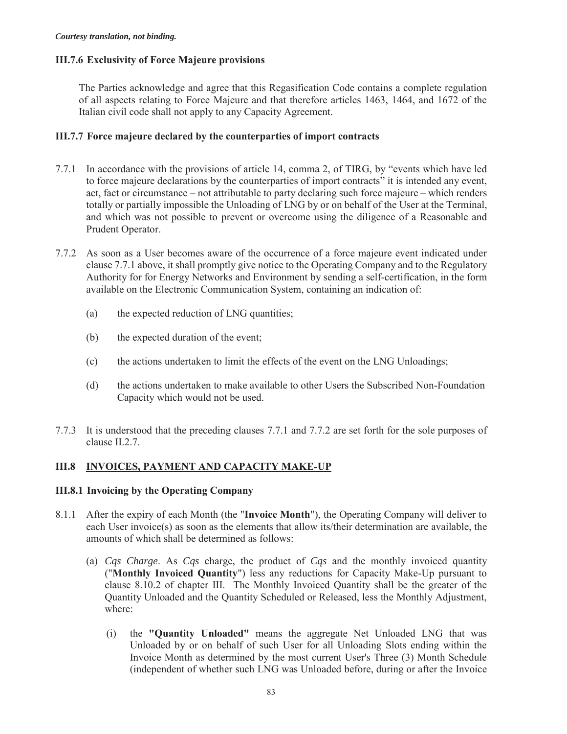## **III.7.6 Exclusivity of Force Majeure provisions**

The Parties acknowledge and agree that this Regasification Code contains a complete regulation of all aspects relating to Force Majeure and that therefore articles 1463, 1464, and 1672 of the Italian civil code shall not apply to any Capacity Agreement.

#### **III.7.7 Force majeure declared by the counterparties of import contracts**

- 7.7.1 In accordance with the provisions of article 14, comma 2, of TIRG, by "events which have led to force majeure declarations by the counterparties of import contracts" it is intended any event, act, fact or circumstance – not attributable to party declaring such force majeure – which renders totally or partially impossible the Unloading of LNG by or on behalf of the User at the Terminal, and which was not possible to prevent or overcome using the diligence of a Reasonable and Prudent Operator.
- 7.7.2 As soon as a User becomes aware of the occurrence of a force majeure event indicated under clause 7.7.1 above, it shall promptly give notice to the Operating Company and to the Regulatory Authority for for Energy Networks and Environment by sending a self-certification, in the form available on the Electronic Communication System, containing an indication of:
	- (a) the expected reduction of LNG quantities;
	- (b) the expected duration of the event;
	- (c) the actions undertaken to limit the effects of the event on the LNG Unloadings;
	- (d) the actions undertaken to make available to other Users the Subscribed Non-Foundation Capacity which would not be used.
- 7.7.3 It is understood that the preceding clauses 7.7.1 and 7.7.2 are set forth for the sole purposes of clause II.2.7.

# **III.8 INVOICES, PAYMENT AND CAPACITY MAKE-UP**

### **III.8.1 Invoicing by the Operating Company**

- 8.1.1 After the expiry of each Month (the "**Invoice Month**"), the Operating Company will deliver to each User invoice(s) as soon as the elements that allow its/their determination are available, the amounts of which shall be determined as follows:
	- (a) *Cqs Charge*. As *Cqs* charge, the product of *Cqs* and the monthly invoiced quantity ("**Monthly Invoiced Quantity**") less any reductions for Capacity Make-Up pursuant to clause 8.10.2 of chapter III. The Monthly Invoiced Quantity shall be the greater of the Quantity Unloaded and the Quantity Scheduled or Released, less the Monthly Adjustment, where:
		- (i) the **"Quantity Unloaded"** means the aggregate Net Unloaded LNG that was Unloaded by or on behalf of such User for all Unloading Slots ending within the Invoice Month as determined by the most current User's Three (3) Month Schedule (independent of whether such LNG was Unloaded before, during or after the Invoice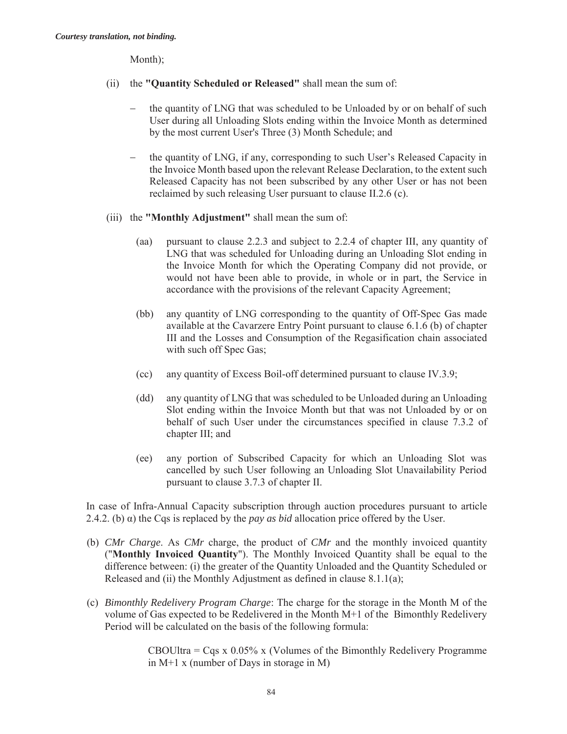Month);

- (ii) the **"Quantity Scheduled or Released"** shall mean the sum of:
	- the quantity of LNG that was scheduled to be Unloaded by or on behalf of such User during all Unloading Slots ending within the Invoice Month as determined by the most current User's Three (3) Month Schedule; and
	- the quantity of LNG, if any, corresponding to such User's Released Capacity in the Invoice Month based upon the relevant Release Declaration, to the extent such Released Capacity has not been subscribed by any other User or has not been reclaimed by such releasing User pursuant to clause II.2.6 (c).
- (iii) the **"Monthly Adjustment"** shall mean the sum of:
	- (aa) pursuant to clause 2.2.3 and subject to 2.2.4 of chapter III, any quantity of LNG that was scheduled for Unloading during an Unloading Slot ending in the Invoice Month for which the Operating Company did not provide, or would not have been able to provide, in whole or in part, the Service in accordance with the provisions of the relevant Capacity Agreement;
	- (bb) any quantity of LNG corresponding to the quantity of Off-Spec Gas made available at the Cavarzere Entry Point pursuant to clause 6.1.6 (b) of chapter III and the Losses and Consumption of the Regasification chain associated with such off Spec Gas;
	- (cc) any quantity of Excess Boil-off determined pursuant to clause IV.3.9;
	- (dd) any quantity of LNG that was scheduled to be Unloaded during an Unloading Slot ending within the Invoice Month but that was not Unloaded by or on behalf of such User under the circumstances specified in clause 7.3.2 of chapter III; and
	- (ee) any portion of Subscribed Capacity for which an Unloading Slot was cancelled by such User following an Unloading Slot Unavailability Period pursuant to clause 3.7.3 of chapter II.

In case of Infra-Annual Capacity subscription through auction procedures pursuant to article 2.4.2. (b)  $\alpha$ ) the Cqs is replaced by the *pay as bid* allocation price offered by the User.

- (b) *CMr Charge*. As *CMr* charge, the product of *CMr* and the monthly invoiced quantity ("**Monthly Invoiced Quantity**"). The Monthly Invoiced Quantity shall be equal to the difference between: (i) the greater of the Quantity Unloaded and the Quantity Scheduled or Released and (ii) the Monthly Adjustment as defined in clause 8.1.1(a);
- (c) *Bimonthly Redelivery Program Charge*: The charge for the storage in the Month M of the volume of Gas expected to be Redelivered in the Month M+1 of the Bimonthly Redelivery Period will be calculated on the basis of the following formula:

CBOUltra =  $Cgs \times 0.05\%$  x (Volumes of the Bimonthly Redelivery Programme in M+1 x (number of Days in storage in M)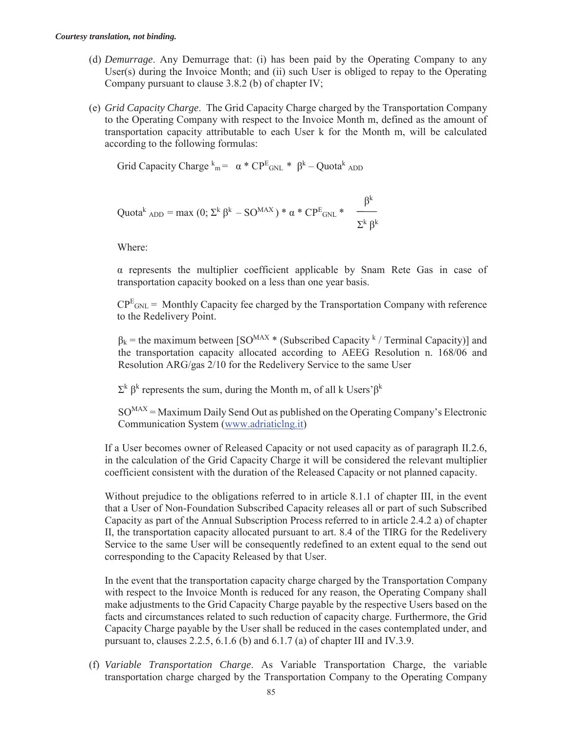- (d) *Demurrage*. Any Demurrage that: (i) has been paid by the Operating Company to any User(s) during the Invoice Month; and (ii) such User is obliged to repay to the Operating Company pursuant to clause 3.8.2 (b) of chapter IV;
- (e) *Grid Capacity Charge*. The Grid Capacity Charge charged by the Transportation Company to the Operating Company with respect to the Invoice Month m, defined as the amount of transportation capacity attributable to each User k for the Month m, will be calculated according to the following formulas:

Grid Capacity Charge  $k_m = \alpha * CP^E_{GNL} * \beta^k - Quota^k_{ADD}$ 

$$
Quota^{k} \text{ }_{ADD} = \max(0; \Sigma^{k} \beta^{k} - SO^{MAX}) * \alpha * CP^{E} \text{ }_{GNL} * \quad \frac{\beta^{k}}{\Sigma^{k} \beta^{k}}
$$

Where:

α represents the multiplier coefficient applicable by Snam Rete Gas in case of transportation capacity booked on a less than one year basis.

 $CP^{E}_{GNL}$  = Monthly Capacity fee charged by the Transportation Company with reference to the Redelivery Point.

 $\beta_k$  = the maximum between [SO<sup>MAX</sup> \* (Subscribed Capacity <sup>k</sup> / Terminal Capacity)] and the transportation capacity allocated according to AEEG Resolution n. 168/06 and Resolution ARG/gas 2/10 for the Redelivery Service to the same User

 $\Sigma^k$  β<sup>k</sup> represents the sum, during the Month m, of all k Users' $\beta^k$ 

 $SO<sub>MAX</sub> = Maximum Daily Send Out as published on the Operating Company's Electronic$ Communication System (www.adriaticlng.it)

If a User becomes owner of Released Capacity or not used capacity as of paragraph II.2.6, in the calculation of the Grid Capacity Charge it will be considered the relevant multiplier coefficient consistent with the duration of the Released Capacity or not planned capacity.

Without prejudice to the obligations referred to in article 8.1.1 of chapter III, in the event that a User of Non-Foundation Subscribed Capacity releases all or part of such Subscribed Capacity as part of the Annual Subscription Process referred to in article 2.4.2 a) of chapter II, the transportation capacity allocated pursuant to art. 8.4 of the TIRG for the Redelivery Service to the same User will be consequently redefined to an extent equal to the send out corresponding to the Capacity Released by that User.

In the event that the transportation capacity charge charged by the Transportation Company with respect to the Invoice Month is reduced for any reason, the Operating Company shall make adjustments to the Grid Capacity Charge payable by the respective Users based on the facts and circumstances related to such reduction of capacity charge. Furthermore, the Grid Capacity Charge payable by the User shall be reduced in the cases contemplated under, and pursuant to, clauses 2.2.5, 6.1.6 (b) and 6.1.7 (a) of chapter III and IV.3.9.

(f) *Variable Transportation Charge*. As Variable Transportation Charge, the variable transportation charge charged by the Transportation Company to the Operating Company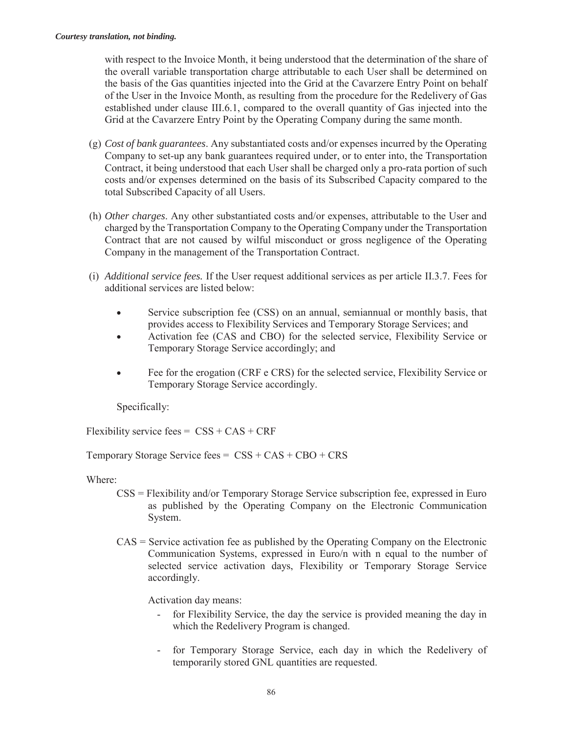with respect to the Invoice Month, it being understood that the determination of the share of the overall variable transportation charge attributable to each User shall be determined on the basis of the Gas quantities injected into the Grid at the Cavarzere Entry Point on behalf of the User in the Invoice Month, as resulting from the procedure for the Redelivery of Gas established under clause III.6.1, compared to the overall quantity of Gas injected into the Grid at the Cavarzere Entry Point by the Operating Company during the same month.

- (g) *Cost of bank guarantees*. Any substantiated costs and/or expenses incurred by the Operating Company to set-up any bank guarantees required under, or to enter into, the Transportation Contract, it being understood that each User shall be charged only a pro-rata portion of such costs and/or expenses determined on the basis of its Subscribed Capacity compared to the total Subscribed Capacity of all Users.
- (h) *Other charges*. Any other substantiated costs and/or expenses, attributable to the User and charged by the Transportation Company to the Operating Company under the Transportation Contract that are not caused by wilful misconduct or gross negligence of the Operating Company in the management of the Transportation Contract.
- (i) *Additional service fees.* If the User request additional services as per article II.3.7. Fees for additional services are listed below:
	- x Service subscription fee (CSS) on an annual, semiannual or monthly basis, that provides access to Flexibility Services and Temporary Storage Services; and
	- x Activation fee (CAS and CBO) for the selected service, Flexibility Service or Temporary Storage Service accordingly; and
	- Fee for the erogation (CRF e CRS) for the selected service, Flexibility Service or Temporary Storage Service accordingly.

Specifically:

Flexibility service fees =  $CSS + CAS + CRF$ 

Temporary Storage Service fees =  $CSS + CAS + CBO + CRS$ 

Where:

- CSS = Flexibility and/or Temporary Storage Service subscription fee, expressed in Euro as published by the Operating Company on the Electronic Communication System.
- $CAS =$  Service activation fee as published by the Operating Company on the Electronic Communication Systems, expressed in Euro/n with n equal to the number of selected service activation days, Flexibility or Temporary Storage Service accordingly.

Activation day means:

- for Flexibility Service, the day the service is provided meaning the day in which the Redelivery Program is changed.
- for Temporary Storage Service, each day in which the Redelivery of temporarily stored GNL quantities are requested.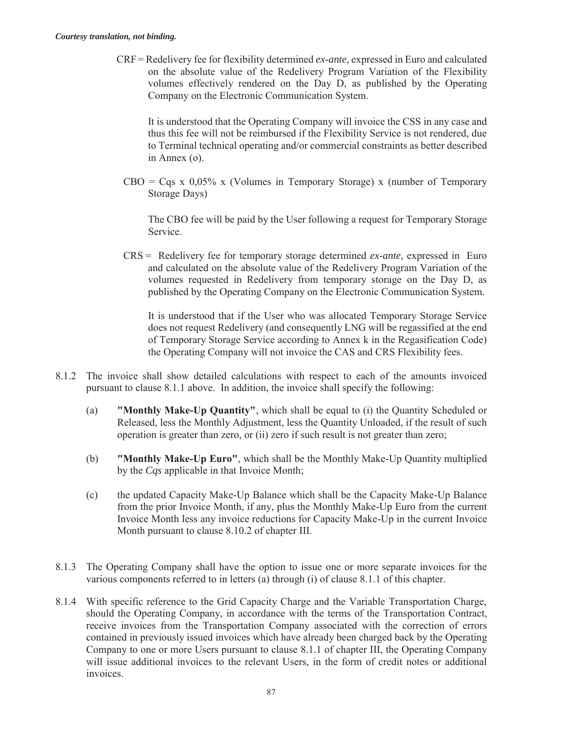CRF= Redelivery fee for flexibility determined *ex-ante*, expressed in Euro and calculated on the absolute value of the Redelivery Program Variation of the Flexibility volumes effectively rendered on the Day D, as published by the Operating Company on the Electronic Communication System.

It is understood that the Operating Company will invoice the CSS in any case and thus this fee will not be reimbursed if the Flexibility Service is not rendered, due to Terminal technical operating and/or commercial constraints as better described in Annex (o).

 $CBO = Cgs \times 0.05\% \times (Volumes in Temperature Storage) \times (number of Temperature$ Storage Days)

The CBO fee will be paid by the User following a request for Temporary Storage Service.

CRS = Redelivery fee for temporary storage determined *ex-ante*, expressed in Euro and calculated on the absolute value of the Redelivery Program Variation of the volumes requested in Redelivery from temporary storage on the Day D, as published by the Operating Company on the Electronic Communication System.

It is understood that if the User who was allocated Temporary Storage Service does not request Redelivery (and consequently LNG will be regassified at the end of Temporary Storage Service according to Annex k in the Regasification Code) the Operating Company will not invoice the CAS and CRS Flexibility fees.

- 8.1.2 The invoice shall show detailed calculations with respect to each of the amounts invoiced pursuant to clause 8.1.1 above. In addition, the invoice shall specify the following:
	- (a) **"Monthly Make-Up Quantity"**, which shall be equal to (i) the Quantity Scheduled or Released, less the Monthly Adjustment, less the Quantity Unloaded, if the result of such operation is greater than zero, or (ii) zero if such result is not greater than zero;
	- (b) **"Monthly Make-Up Euro"**, which shall be the Monthly Make-Up Quantity multiplied by the *Cqs* applicable in that Invoice Month;
	- (c) the updated Capacity Make-Up Balance which shall be the Capacity Make-Up Balance from the prior Invoice Month, if any, plus the Monthly Make-Up Euro from the current Invoice Month less any invoice reductions for Capacity Make-Up in the current Invoice Month pursuant to clause 8.10.2 of chapter III.
- 8.1.3 The Operating Company shall have the option to issue one or more separate invoices for the various components referred to in letters (a) through (i) of clause 8.1.1 of this chapter.
- 8.1.4 With specific reference to the Grid Capacity Charge and the Variable Transportation Charge, should the Operating Company, in accordance with the terms of the Transportation Contract, receive invoices from the Transportation Company associated with the correction of errors contained in previously issued invoices which have already been charged back by the Operating Company to one or more Users pursuant to clause 8.1.1 of chapter III, the Operating Company will issue additional invoices to the relevant Users, in the form of credit notes or additional invoices.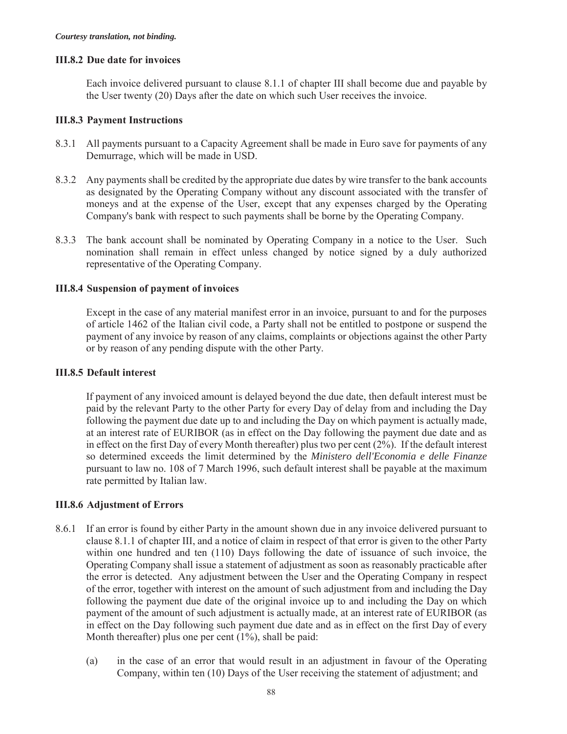#### **III.8.2 Due date for invoices**

Each invoice delivered pursuant to clause 8.1.1 of chapter III shall become due and payable by the User twenty (20) Days after the date on which such User receives the invoice.

#### **III.8.3 Payment Instructions**

- 8.3.1 All payments pursuant to a Capacity Agreement shall be made in Euro save for payments of any Demurrage, which will be made in USD.
- 8.3.2 Any payments shall be credited by the appropriate due dates by wire transfer to the bank accounts as designated by the Operating Company without any discount associated with the transfer of moneys and at the expense of the User, except that any expenses charged by the Operating Company's bank with respect to such payments shall be borne by the Operating Company.
- 8.3.3 The bank account shall be nominated by Operating Company in a notice to the User. Such nomination shall remain in effect unless changed by notice signed by a duly authorized representative of the Operating Company.

#### **III.8.4 Suspension of payment of invoices**

Except in the case of any material manifest error in an invoice, pursuant to and for the purposes of article 1462 of the Italian civil code, a Party shall not be entitled to postpone or suspend the payment of any invoice by reason of any claims, complaints or objections against the other Party or by reason of any pending dispute with the other Party.

#### **III.8.5 Default interest**

If payment of any invoiced amount is delayed beyond the due date, then default interest must be paid by the relevant Party to the other Party for every Day of delay from and including the Day following the payment due date up to and including the Day on which payment is actually made, at an interest rate of EURIBOR (as in effect on the Day following the payment due date and as in effect on the first Day of every Month thereafter) plus two per cent  $(2\%)$ . If the default interest so determined exceeds the limit determined by the *Ministero dell'Economia e delle Finanze*  pursuant to law no. 108 of 7 March 1996, such default interest shall be payable at the maximum rate permitted by Italian law.

#### **III.8.6 Adjustment of Errors**

- 8.6.1 If an error is found by either Party in the amount shown due in any invoice delivered pursuant to clause 8.1.1 of chapter III, and a notice of claim in respect of that error is given to the other Party within one hundred and ten (110) Days following the date of issuance of such invoice, the Operating Company shall issue a statement of adjustment as soon as reasonably practicable after the error is detected. Any adjustment between the User and the Operating Company in respect of the error, together with interest on the amount of such adjustment from and including the Day following the payment due date of the original invoice up to and including the Day on which payment of the amount of such adjustment is actually made, at an interest rate of EURIBOR (as in effect on the Day following such payment due date and as in effect on the first Day of every Month thereafter) plus one per cent  $(1\%)$ , shall be paid:
	- (a) in the case of an error that would result in an adjustment in favour of the Operating Company, within ten (10) Days of the User receiving the statement of adjustment; and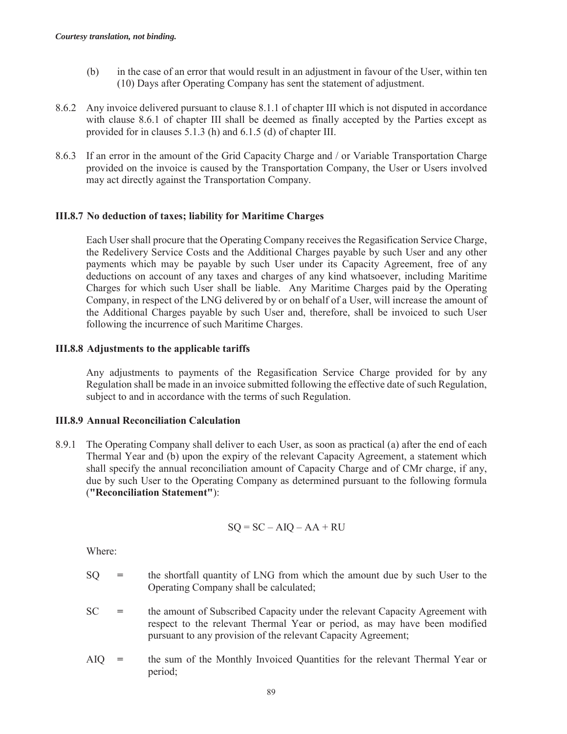- (b) in the case of an error that would result in an adjustment in favour of the User, within ten (10) Days after Operating Company has sent the statement of adjustment.
- 8.6.2 Any invoice delivered pursuant to clause 8.1.1 of chapter III which is not disputed in accordance with clause 8.6.1 of chapter III shall be deemed as finally accepted by the Parties except as provided for in clauses 5.1.3 (h) and 6.1.5 (d) of chapter III.
- 8.6.3 If an error in the amount of the Grid Capacity Charge and / or Variable Transportation Charge provided on the invoice is caused by the Transportation Company, the User or Users involved may act directly against the Transportation Company.

#### **III.8.7 No deduction of taxes; liability for Maritime Charges**

Each User shall procure that the Operating Company receives the Regasification Service Charge, the Redelivery Service Costs and the Additional Charges payable by such User and any other payments which may be payable by such User under its Capacity Agreement, free of any deductions on account of any taxes and charges of any kind whatsoever, including Maritime Charges for which such User shall be liable. Any Maritime Charges paid by the Operating Company, in respect of the LNG delivered by or on behalf of a User, will increase the amount of the Additional Charges payable by such User and, therefore, shall be invoiced to such User following the incurrence of such Maritime Charges.

#### **III.8.8 Adjustments to the applicable tariffs**

Any adjustments to payments of the Regasification Service Charge provided for by any Regulation shall be made in an invoice submitted following the effective date of such Regulation, subject to and in accordance with the terms of such Regulation.

### **III.8.9 Annual Reconciliation Calculation**

8.9.1 The Operating Company shall deliver to each User, as soon as practical (a) after the end of each Thermal Year and (b) upon the expiry of the relevant Capacity Agreement, a statement which shall specify the annual reconciliation amount of Capacity Charge and of CMr charge, if any, due by such User to the Operating Company as determined pursuant to the following formula (**"Reconciliation Statement"**):

$$
SQ = SC - AIQ - AA + RU
$$

Where:

- SQ **=** the shortfall quantity of LNG from which the amount due by such User to the Operating Company shall be calculated;
- SC **=** the amount of Subscribed Capacity under the relevant Capacity Agreement with respect to the relevant Thermal Year or period, as may have been modified pursuant to any provision of the relevant Capacity Agreement;
- AIQ **=** the sum of the Monthly Invoiced Quantities for the relevant Thermal Year or period;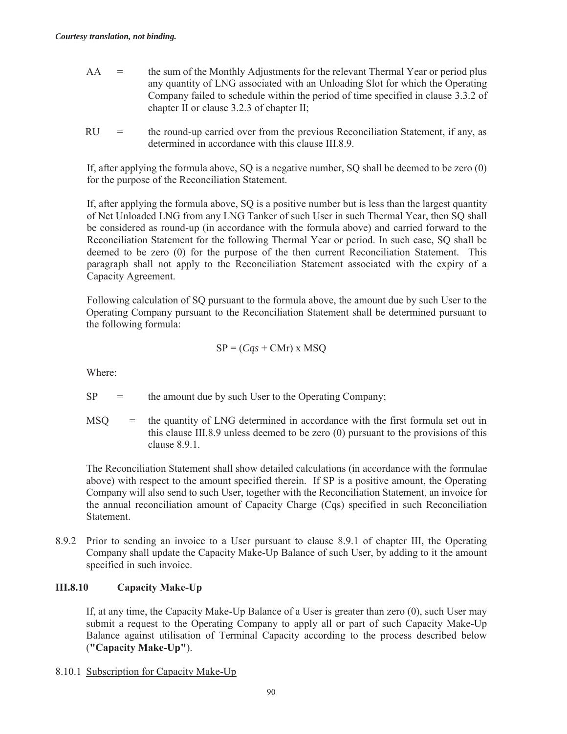- AA **=** the sum of the Monthly Adjustments for the relevant Thermal Year or period plus any quantity of LNG associated with an Unloading Slot for which the Operating Company failed to schedule within the period of time specified in clause 3.3.2 of chapter II or clause 3.2.3 of chapter II;
- $RU =$  the round-up carried over from the previous Reconciliation Statement, if any, as determined in accordance with this clause III.8.9.

If, after applying the formula above, SQ is a negative number, SQ shall be deemed to be zero (0) for the purpose of the Reconciliation Statement.

If, after applying the formula above, SQ is a positive number but is less than the largest quantity of Net Unloaded LNG from any LNG Tanker of such User in such Thermal Year, then SQ shall be considered as round-up (in accordance with the formula above) and carried forward to the Reconciliation Statement for the following Thermal Year or period. In such case, SQ shall be deemed to be zero (0) for the purpose of the then current Reconciliation Statement. This paragraph shall not apply to the Reconciliation Statement associated with the expiry of a Capacity Agreement.

Following calculation of SQ pursuant to the formula above, the amount due by such User to the Operating Company pursuant to the Reconciliation Statement shall be determined pursuant to the following formula:

$$
SP = (Cqs + CMr) \times MSQ
$$

Where:

 $SP =$  the amount due by such User to the Operating Company;

MSQ = the quantity of LNG determined in accordance with the first formula set out in this clause III.8.9 unless deemed to be zero (0) pursuant to the provisions of this clause 8.9.1.

The Reconciliation Statement shall show detailed calculations (in accordance with the formulae above) with respect to the amount specified therein. If SP is a positive amount, the Operating Company will also send to such User, together with the Reconciliation Statement, an invoice for the annual reconciliation amount of Capacity Charge (Cqs) specified in such Reconciliation Statement.

8.9.2 Prior to sending an invoice to a User pursuant to clause 8.9.1 of chapter III, the Operating Company shall update the Capacity Make-Up Balance of such User, by adding to it the amount specified in such invoice.

### **III.8.10 Capacity Make-Up**

If, at any time, the Capacity Make-Up Balance of a User is greater than zero (0), such User may submit a request to the Operating Company to apply all or part of such Capacity Make-Up Balance against utilisation of Terminal Capacity according to the process described below (**"Capacity Make-Up"**).

8.10.1 Subscription for Capacity Make-Up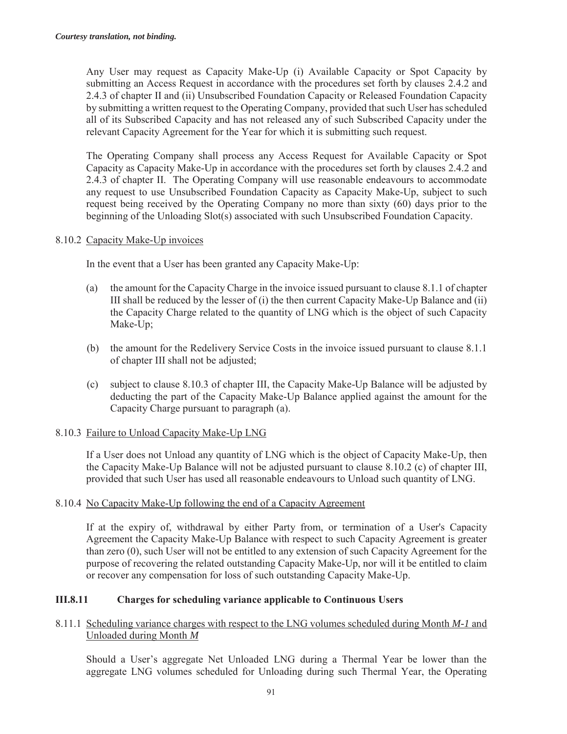Any User may request as Capacity Make-Up (i) Available Capacity or Spot Capacity by submitting an Access Request in accordance with the procedures set forth by clauses 2.4.2 and 2.4.3 of chapter II and (ii) Unsubscribed Foundation Capacity or Released Foundation Capacity by submitting a written request to the Operating Company, provided that such User has scheduled all of its Subscribed Capacity and has not released any of such Subscribed Capacity under the relevant Capacity Agreement for the Year for which it is submitting such request.

The Operating Company shall process any Access Request for Available Capacity or Spot Capacity as Capacity Make-Up in accordance with the procedures set forth by clauses 2.4.2 and 2.4.3 of chapter II. The Operating Company will use reasonable endeavours to accommodate any request to use Unsubscribed Foundation Capacity as Capacity Make-Up, subject to such request being received by the Operating Company no more than sixty (60) days prior to the beginning of the Unloading Slot(s) associated with such Unsubscribed Foundation Capacity.

### 8.10.2 Capacity Make-Up invoices

In the event that a User has been granted any Capacity Make-Up:

- (a) the amount for the Capacity Charge in the invoice issued pursuant to clause 8.1.1 of chapter III shall be reduced by the lesser of  $(i)$  the then current Capacity Make-Up Balance and  $(ii)$ the Capacity Charge related to the quantity of LNG which is the object of such Capacity Make-Up;
- (b) the amount for the Redelivery Service Costs in the invoice issued pursuant to clause 8.1.1 of chapter III shall not be adjusted;
- (c) subject to clause 8.10.3 of chapter III, the Capacity Make-Up Balance will be adjusted by deducting the part of the Capacity Make-Up Balance applied against the amount for the Capacity Charge pursuant to paragraph (a).

### 8.10.3 Failure to Unload Capacity Make-Up LNG

If a User does not Unload any quantity of LNG which is the object of Capacity Make-Up, then the Capacity Make-Up Balance will not be adjusted pursuant to clause 8.10.2 (c) of chapter III, provided that such User has used all reasonable endeavours to Unload such quantity of LNG.

### 8.10.4 No Capacity Make-Up following the end of a Capacity Agreement

If at the expiry of, withdrawal by either Party from, or termination of a User's Capacity Agreement the Capacity Make-Up Balance with respect to such Capacity Agreement is greater than zero (0), such User will not be entitled to any extension of such Capacity Agreement for the purpose of recovering the related outstanding Capacity Make-Up, nor will it be entitled to claim or recover any compensation for loss of such outstanding Capacity Make-Up.

# **III.8.11 Charges for scheduling variance applicable to Continuous Users**

### 8.11.1 Scheduling variance charges with respect to the LNG volumes scheduled during Month *M-1* and Unloaded during Month *M*

Should a User's aggregate Net Unloaded LNG during a Thermal Year be lower than the aggregate LNG volumes scheduled for Unloading during such Thermal Year, the Operating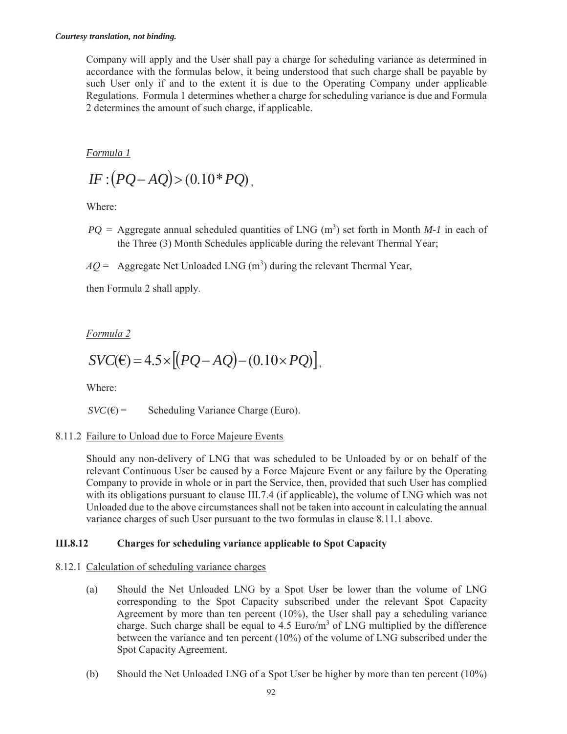Company will apply and the User shall pay a charge for scheduling variance as determined in accordance with the formulas below, it being understood that such charge shall be payable by such User only if and to the extent it is due to the Operating Company under applicable Regulations. Formula 1 determines whether a charge for scheduling variance is due and Formula 2 determines the amount of such charge, if applicable.

*Formula 1* 

$$
IF:(PQ-AQ)>(0.10*PQ),
$$

Where:

 $PQ =$  Aggregate annual scheduled quantities of LNG (m<sup>3</sup>) set forth in Month *M-1* in each of the Three (3) Month Schedules applicable during the relevant Thermal Year;

 $AQ =$  Aggregate Net Unloaded LNG  $(m^3)$  during the relevant Thermal Year,

then Formula 2 shall apply.

*Formula 2* 

$$
SVC(\epsilon) = 4.5 \times [(PQ - AQ) - (0.10 \times PQ)],
$$

Where:

 $SVC(\epsilon) =$  Scheduling Variance Charge (Euro).

### 8.11.2 Failure to Unload due to Force Majeure Events

Should any non-delivery of LNG that was scheduled to be Unloaded by or on behalf of the relevant Continuous User be caused by a Force Majeure Event or any failure by the Operating Company to provide in whole or in part the Service, then, provided that such User has complied with its obligations pursuant to clause III.7.4 (if applicable), the volume of LNG which was not Unloaded due to the above circumstances shall not be taken into account in calculating the annual variance charges of such User pursuant to the two formulas in clause 8.11.1 above.

# **III.8.12 Charges for scheduling variance applicable to Spot Capacity**

### 8.12.1 Calculation of scheduling variance charges

- (a) Should the Net Unloaded LNG by a Spot User be lower than the volume of LNG corresponding to the Spot Capacity subscribed under the relevant Spot Capacity Agreement by more than ten percent (10%), the User shall pay a scheduling variance charge. Such charge shall be equal to  $4.5 \text{ Euro/m}^3$  of LNG multiplied by the difference between the variance and ten percent (10%) of the volume of LNG subscribed under the Spot Capacity Agreement.
- (b) Should the Net Unloaded LNG of a Spot User be higher by more than ten percent (10%)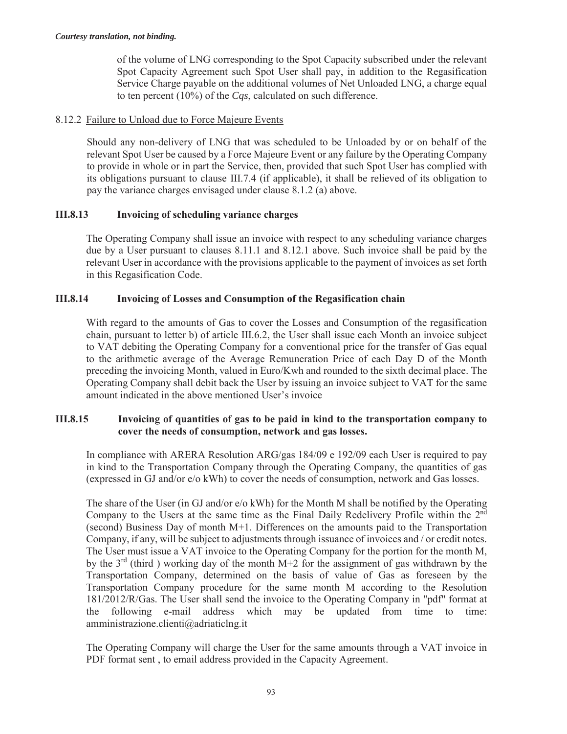of the volume of LNG corresponding to the Spot Capacity subscribed under the relevant Spot Capacity Agreement such Spot User shall pay, in addition to the Regasification Service Charge payable on the additional volumes of Net Unloaded LNG, a charge equal to ten percent (10%) of the *Cqs*, calculated on such difference.

### 8.12.2 Failure to Unload due to Force Majeure Events

Should any non-delivery of LNG that was scheduled to be Unloaded by or on behalf of the relevant Spot User be caused by a Force Majeure Event or any failure by the Operating Company to provide in whole or in part the Service, then, provided that such Spot User has complied with its obligations pursuant to clause III.7.4 (if applicable), it shall be relieved of its obligation to pay the variance charges envisaged under clause 8.1.2 (a) above.

### **III.8.13 Invoicing of scheduling variance charges**

The Operating Company shall issue an invoice with respect to any scheduling variance charges due by a User pursuant to clauses 8.11.1 and 8.12.1 above. Such invoice shall be paid by the relevant User in accordance with the provisions applicable to the payment of invoices as set forth in this Regasification Code.

### **III.8.14 Invoicing of Losses and Consumption of the Regasification chain**

With regard to the amounts of Gas to cover the Losses and Consumption of the regasification chain, pursuant to letter b) of article III.6.2, the User shall issue each Month an invoice subject to VAT debiting the Operating Company for a conventional price for the transfer of Gas equal to the arithmetic average of the Average Remuneration Price of each Day D of the Month preceding the invoicing Month, valued in Euro/Kwh and rounded to the sixth decimal place. The Operating Company shall debit back the User by issuing an invoice subject to VAT for the same amount indicated in the above mentioned User's invoice

#### **III.8.15 Invoicing of quantities of gas to be paid in kind to the transportation company to cover the needs of consumption, network and gas losses.**

In compliance with ARERA Resolution ARG/gas 184/09 e 192/09 each User is required to pay in kind to the Transportation Company through the Operating Company, the quantities of gas (expressed in GJ and/or e/o kWh) to cover the needs of consumption, network and Gas losses.

The share of the User (in GJ and/or e/o kWh) for the Month M shall be notified by the Operating Company to the Users at the same time as the Final Daily Redelivery Profile within the 2nd (second) Business Day of month M+1. Differences on the amounts paid to the Transportation Company, if any, will be subject to adjustments through issuance of invoices and / or credit notes. The User must issue a VAT invoice to the Operating Company for the portion for the month M, by the  $3<sup>rd</sup>$  (third) working day of the month M+2 for the assignment of gas withdrawn by the Transportation Company, determined on the basis of value of Gas as foreseen by the Transportation Company procedure for the same month M according to the Resolution 181/2012/R/Gas. The User shall send the invoice to the Operating Company in "pdf" format at the following e-mail address which may be updated from time to time: amministrazione.clienti@adriaticlng.it

The Operating Company will charge the User for the same amounts through a VAT invoice in PDF format sent , to email address provided in the Capacity Agreement.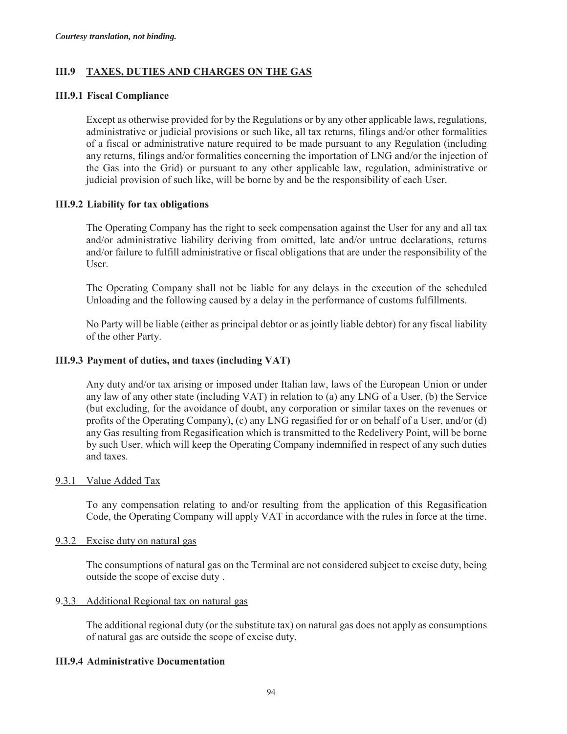### **III.9 TAXES, DUTIES AND CHARGES ON THE GAS**

#### **III.9.1 Fiscal Compliance**

Except as otherwise provided for by the Regulations or by any other applicable laws, regulations, administrative or judicial provisions or such like, all tax returns, filings and/or other formalities of a fiscal or administrative nature required to be made pursuant to any Regulation (including any returns, filings and/or formalities concerning the importation of LNG and/or the injection of the Gas into the Grid) or pursuant to any other applicable law, regulation, administrative or judicial provision of such like, will be borne by and be the responsibility of each User.

#### **III.9.2 Liability for tax obligations**

The Operating Company has the right to seek compensation against the User for any and all tax and/or administrative liability deriving from omitted, late and/or untrue declarations, returns and/or failure to fulfill administrative or fiscal obligations that are under the responsibility of the User.

The Operating Company shall not be liable for any delays in the execution of the scheduled Unloading and the following caused by a delay in the performance of customs fulfillments.

No Party will be liable (either as principal debtor or as jointly liable debtor) for any fiscal liability of the other Party.

#### **III.9.3 Payment of duties, and taxes (including VAT)**

Any duty and/or tax arising or imposed under Italian law, laws of the European Union or under any law of any other state (including VAT) in relation to (a) any LNG of a User, (b) the Service (but excluding, for the avoidance of doubt, any corporation or similar taxes on the revenues or profits of the Operating Company), (c) any LNG regasified for or on behalf of a User, and/or (d) any Gas resulting from Regasification which is transmitted to the Redelivery Point, will be borne by such User, which will keep the Operating Company indemnified in respect of any such duties and taxes.

#### 9.3.1 Value Added Tax

To any compensation relating to and/or resulting from the application of this Regasification Code, the Operating Company will apply VAT in accordance with the rules in force at the time.

#### 9.3.2 Excise duty on natural gas

The consumptions of natural gas on the Terminal are not considered subject to excise duty, being outside the scope of excise duty .

#### 9.3.3 Additional Regional tax on natural gas

The additional regional duty (or the substitute tax) on natural gas does not apply as consumptions of natural gas are outside the scope of excise duty.

#### **III.9.4 Administrative Documentation**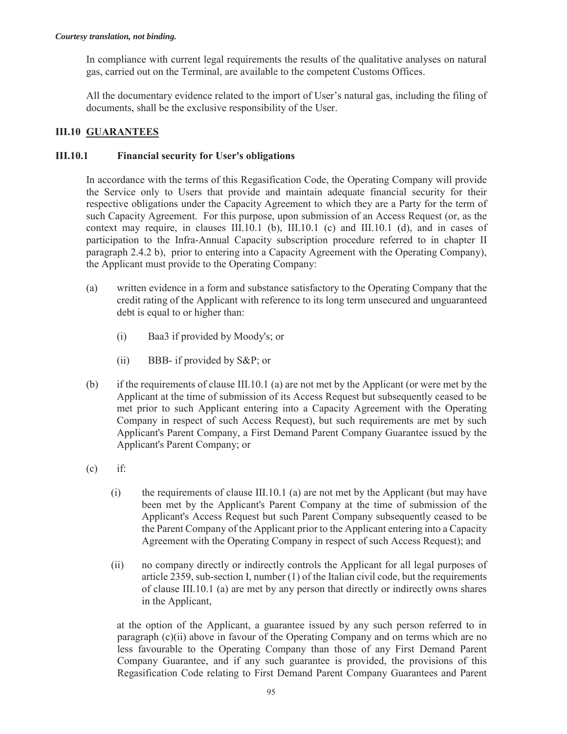In compliance with current legal requirements the results of the qualitative analyses on natural gas, carried out on the Terminal, are available to the competent Customs Offices.

All the documentary evidence related to the import of User's natural gas, including the filing of documents, shall be the exclusive responsibility of the User.

# **III.10 GUARANTEES**

### **III.10.1 Financial security for User's obligations**

In accordance with the terms of this Regasification Code, the Operating Company will provide the Service only to Users that provide and maintain adequate financial security for their respective obligations under the Capacity Agreement to which they are a Party for the term of such Capacity Agreement. For this purpose, upon submission of an Access Request (or, as the context may require, in clauses III.10.1 (b), III.10.1 (c) and III.10.1 (d), and in cases of participation to the Infra-Annual Capacity subscription procedure referred to in chapter II paragraph 2.4.2 b), prior to entering into a Capacity Agreement with the Operating Company), the Applicant must provide to the Operating Company:

- (a) written evidence in a form and substance satisfactory to the Operating Company that the credit rating of the Applicant with reference to its long term unsecured and unguaranteed debt is equal to or higher than:
	- (i) Baa3 if provided by Moody's; or
	- (ii) BBB- if provided by S&P; or
- (b) if the requirements of clause III.10.1 (a) are not met by the Applicant (or were met by the Applicant at the time of submission of its Access Request but subsequently ceased to be met prior to such Applicant entering into a Capacity Agreement with the Operating Company in respect of such Access Request), but such requirements are met by such Applicant's Parent Company, a First Demand Parent Company Guarantee issued by the Applicant's Parent Company; or
- $(c)$  if:
	- (i) the requirements of clause III.10.1 (a) are not met by the Applicant (but may have been met by the Applicant's Parent Company at the time of submission of the Applicant's Access Request but such Parent Company subsequently ceased to be the Parent Company of the Applicant prior to the Applicant entering into a Capacity Agreement with the Operating Company in respect of such Access Request); and
	- (ii) no company directly or indirectly controls the Applicant for all legal purposes of article 2359, sub-section I, number (1) of the Italian civil code, but the requirements of clause III.10.1 (a) are met by any person that directly or indirectly owns shares in the Applicant,

at the option of the Applicant, a guarantee issued by any such person referred to in paragraph (c)(ii) above in favour of the Operating Company and on terms which are no less favourable to the Operating Company than those of any First Demand Parent Company Guarantee, and if any such guarantee is provided, the provisions of this Regasification Code relating to First Demand Parent Company Guarantees and Parent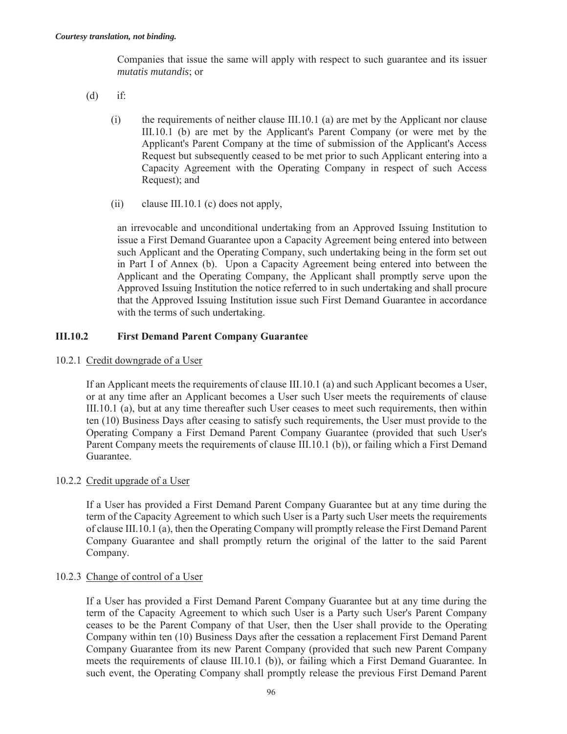Companies that issue the same will apply with respect to such guarantee and its issuer *mutatis mutandis*; or

- (d) if:
	- (i) the requirements of neither clause III.10.1 (a) are met by the Applicant nor clause III.10.1 (b) are met by the Applicant's Parent Company (or were met by the Applicant's Parent Company at the time of submission of the Applicant's Access Request but subsequently ceased to be met prior to such Applicant entering into a Capacity Agreement with the Operating Company in respect of such Access Request); and
	- (ii) clause III.10.1 (c) does not apply,

an irrevocable and unconditional undertaking from an Approved Issuing Institution to issue a First Demand Guarantee upon a Capacity Agreement being entered into between such Applicant and the Operating Company, such undertaking being in the form set out in Part I of Annex (b). Upon a Capacity Agreement being entered into between the Applicant and the Operating Company, the Applicant shall promptly serve upon the Approved Issuing Institution the notice referred to in such undertaking and shall procure that the Approved Issuing Institution issue such First Demand Guarantee in accordance with the terms of such undertaking.

#### **III.10.2 First Demand Parent Company Guarantee**

10.2.1 Credit downgrade of a User

If an Applicant meets the requirements of clause III.10.1 (a) and such Applicant becomes a User, or at any time after an Applicant becomes a User such User meets the requirements of clause III.10.1 (a), but at any time thereafter such User ceases to meet such requirements, then within ten (10) Business Days after ceasing to satisfy such requirements, the User must provide to the Operating Company a First Demand Parent Company Guarantee (provided that such User's Parent Company meets the requirements of clause III.10.1 (b)), or failing which a First Demand Guarantee.

#### 10.2.2 Credit upgrade of a User

If a User has provided a First Demand Parent Company Guarantee but at any time during the term of the Capacity Agreement to which such User is a Party such User meets the requirements of clause III.10.1 (a), then the Operating Company will promptly release the First Demand Parent Company Guarantee and shall promptly return the original of the latter to the said Parent Company.

#### 10.2.3 Change of control of a User

If a User has provided a First Demand Parent Company Guarantee but at any time during the term of the Capacity Agreement to which such User is a Party such User's Parent Company ceases to be the Parent Company of that User, then the User shall provide to the Operating Company within ten (10) Business Days after the cessation a replacement First Demand Parent Company Guarantee from its new Parent Company (provided that such new Parent Company meets the requirements of clause III.10.1 (b)), or failing which a First Demand Guarantee. In such event, the Operating Company shall promptly release the previous First Demand Parent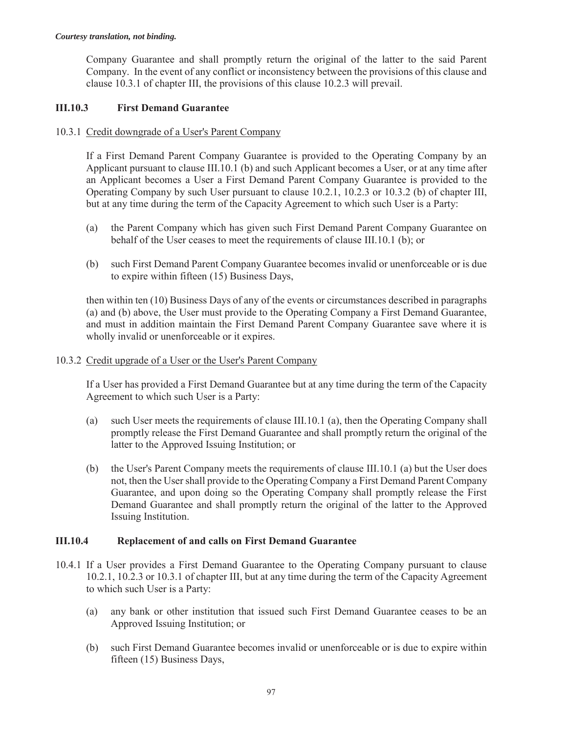Company Guarantee and shall promptly return the original of the latter to the said Parent Company. In the event of any conflict or inconsistency between the provisions of this clause and clause 10.3.1 of chapter III, the provisions of this clause 10.2.3 will prevail.

### **III.10.3 First Demand Guarantee**

#### 10.3.1 Credit downgrade of a User's Parent Company

If a First Demand Parent Company Guarantee is provided to the Operating Company by an Applicant pursuant to clause III.10.1 (b) and such Applicant becomes a User, or at any time after an Applicant becomes a User a First Demand Parent Company Guarantee is provided to the Operating Company by such User pursuant to clause 10.2.1, 10.2.3 or 10.3.2 (b) of chapter III, but at any time during the term of the Capacity Agreement to which such User is a Party:

- (a) the Parent Company which has given such First Demand Parent Company Guarantee on behalf of the User ceases to meet the requirements of clause III.10.1 (b); or
- (b) such First Demand Parent Company Guarantee becomes invalid or unenforceable or is due to expire within fifteen (15) Business Days,

then within ten (10) Business Days of any of the events or circumstances described in paragraphs (a) and (b) above, the User must provide to the Operating Company a First Demand Guarantee, and must in addition maintain the First Demand Parent Company Guarantee save where it is wholly invalid or unenforceable or it expires.

#### 10.3.2 Credit upgrade of a User or the User's Parent Company

If a User has provided a First Demand Guarantee but at any time during the term of the Capacity Agreement to which such User is a Party:

- (a) such User meets the requirements of clause III.10.1 (a), then the Operating Company shall promptly release the First Demand Guarantee and shall promptly return the original of the latter to the Approved Issuing Institution; or
- (b) the User's Parent Company meets the requirements of clause III.10.1 (a) but the User does not, then the User shall provide to the Operating Company a First Demand Parent Company Guarantee, and upon doing so the Operating Company shall promptly release the First Demand Guarantee and shall promptly return the original of the latter to the Approved Issuing Institution.

### **III.10.4 Replacement of and calls on First Demand Guarantee**

- 10.4.1 If a User provides a First Demand Guarantee to the Operating Company pursuant to clause 10.2.1, 10.2.3 or 10.3.1 of chapter III, but at any time during the term of the Capacity Agreement to which such User is a Party:
	- (a) any bank or other institution that issued such First Demand Guarantee ceases to be an Approved Issuing Institution; or
	- (b) such First Demand Guarantee becomes invalid or unenforceable or is due to expire within fifteen (15) Business Days,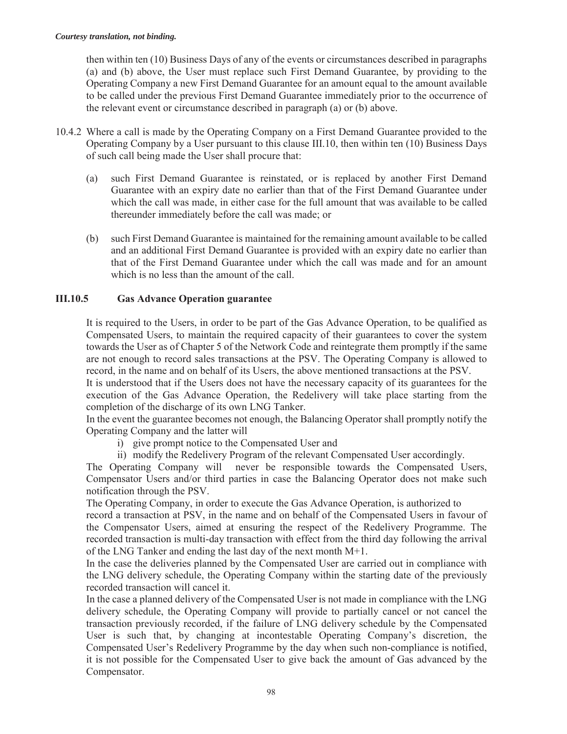then within ten (10) Business Days of any of the events or circumstances described in paragraphs (a) and (b) above, the User must replace such First Demand Guarantee, by providing to the Operating Company a new First Demand Guarantee for an amount equal to the amount available to be called under the previous First Demand Guarantee immediately prior to the occurrence of the relevant event or circumstance described in paragraph (a) or (b) above.

- 10.4.2 Where a call is made by the Operating Company on a First Demand Guarantee provided to the Operating Company by a User pursuant to this clause III.10, then within ten (10) Business Days of such call being made the User shall procure that:
	- (a) such First Demand Guarantee is reinstated, or is replaced by another First Demand Guarantee with an expiry date no earlier than that of the First Demand Guarantee under which the call was made, in either case for the full amount that was available to be called thereunder immediately before the call was made; or
	- (b) such First Demand Guarantee is maintained for the remaining amount available to be called and an additional First Demand Guarantee is provided with an expiry date no earlier than that of the First Demand Guarantee under which the call was made and for an amount which is no less than the amount of the call.

### **III.10.5 Gas Advance Operation guarantee**

It is required to the Users, in order to be part of the Gas Advance Operation, to be qualified as Compensated Users, to maintain the required capacity of their guarantees to cover the system towards the User as of Chapter 5 of the Network Code and reintegrate them promptly if the same are not enough to record sales transactions at the PSV. The Operating Company is allowed to record, in the name and on behalf of its Users, the above mentioned transactions at the PSV.

It is understood that if the Users does not have the necessary capacity of its guarantees for the execution of the Gas Advance Operation, the Redelivery will take place starting from the completion of the discharge of its own LNG Tanker.

In the event the guarantee becomes not enough, the Balancing Operator shall promptly notify the Operating Company and the latter will

- i) give prompt notice to the Compensated User and
- ii) modify the Redelivery Program of the relevant Compensated User accordingly.

The Operating Company will never be responsible towards the Compensated Users, Compensator Users and/or third parties in case the Balancing Operator does not make such notification through the PSV.

The Operating Company, in order to execute the Gas Advance Operation, is authorized to

record a transaction at PSV, in the name and on behalf of the Compensated Users in favour of the Compensator Users, aimed at ensuring the respect of the Redelivery Programme. The recorded transaction is multi-day transaction with effect from the third day following the arrival of the LNG Tanker and ending the last day of the next month M+1.

In the case the deliveries planned by the Compensated User are carried out in compliance with the LNG delivery schedule, the Operating Company within the starting date of the previously recorded transaction will cancel it.

In the case a planned delivery of the Compensated User is not made in compliance with the LNG delivery schedule, the Operating Company will provide to partially cancel or not cancel the transaction previously recorded, if the failure of LNG delivery schedule by the Compensated User is such that, by changing at incontestable Operating Company's discretion, the Compensated User's Redelivery Programme by the day when such non-compliance is notified, it is not possible for the Compensated User to give back the amount of Gas advanced by the Compensator.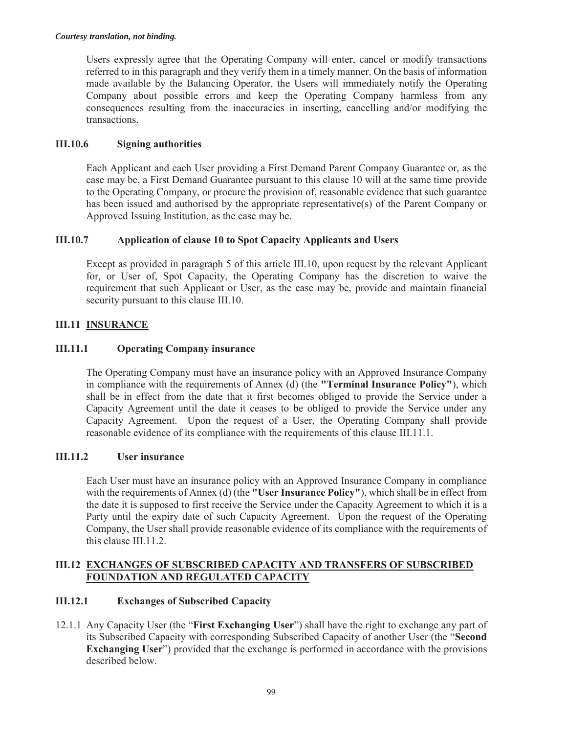Users expressly agree that the Operating Company will enter, cancel or modify transactions referred to in this paragraph and they verify them in a timely manner. On the basis of information made available by the Balancing Operator, the Users will immediately notify the Operating Company about possible errors and keep the Operating Company harmless from any consequences resulting from the inaccuracies in inserting, cancelling and/or modifying the transactions.

#### **III.10.6 Signing authorities**

Each Applicant and each User providing a First Demand Parent Company Guarantee or, as the case may be, a First Demand Guarantee pursuant to this clause 10 will at the same time provide to the Operating Company, or procure the provision of, reasonable evidence that such guarantee has been issued and authorised by the appropriate representative(s) of the Parent Company or Approved Issuing Institution, as the case may be.

### **III.10.7 Application of clause 10 to Spot Capacity Applicants and Users**

Except as provided in paragraph 5 of this article III.10, upon request by the relevant Applicant for, or User of, Spot Capacity, the Operating Company has the discretion to waive the requirement that such Applicant or User, as the case may be, provide and maintain financial security pursuant to this clause III.10.

### **III.11 INSURANCE**

#### **III.11.1 Operating Company insurance**

The Operating Company must have an insurance policy with an Approved Insurance Company in compliance with the requirements of Annex (d) (the **"Terminal Insurance Policy"**), which shall be in effect from the date that it first becomes obliged to provide the Service under a Capacity Agreement until the date it ceases to be obliged to provide the Service under any Capacity Agreement. Upon the request of a User, the Operating Company shall provide reasonable evidence of its compliance with the requirements of this clause III.11.1.

#### **III.11.2 User insurance**

Each User must have an insurance policy with an Approved Insurance Company in compliance with the requirements of Annex (d) (the **"User Insurance Policy"**), which shall be in effect from the date it is supposed to first receive the Service under the Capacity Agreement to which it is a Party until the expiry date of such Capacity Agreement. Upon the request of the Operating Company, the User shall provide reasonable evidence of its compliance with the requirements of this clause III.11.2.

#### **III.12 EXCHANGES OF SUBSCRIBED CAPACITY AND TRANSFERS OF SUBSCRIBED FOUNDATION AND REGULATED CAPACITY**

#### **III.12.1 Exchanges of Subscribed Capacity**

12.1.1 Any Capacity User (the "**First Exchanging User**") shall have the right to exchange any part of its Subscribed Capacity with corresponding Subscribed Capacity of another User (the "**Second Exchanging User**") provided that the exchange is performed in accordance with the provisions described below.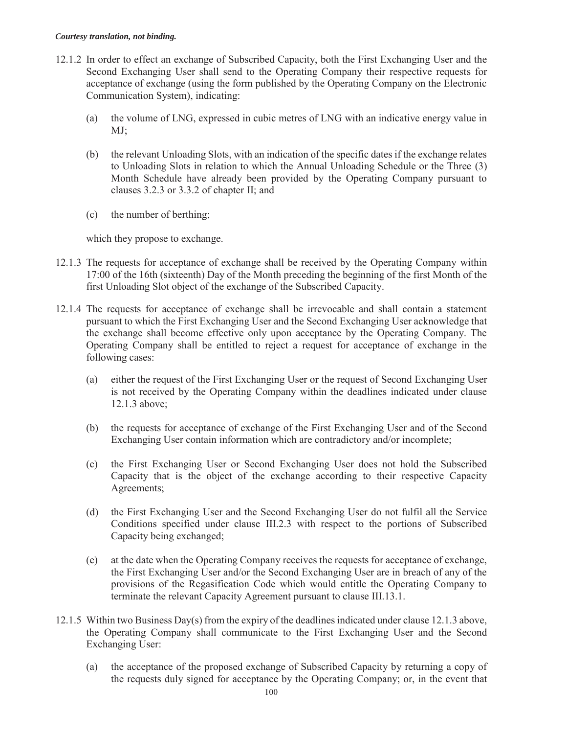- 12.1.2 In order to effect an exchange of Subscribed Capacity, both the First Exchanging User and the Second Exchanging User shall send to the Operating Company their respective requests for acceptance of exchange (using the form published by the Operating Company on the Electronic Communication System), indicating:
	- (a) the volume of LNG, expressed in cubic metres of LNG with an indicative energy value in MJ;
	- (b) the relevant Unloading Slots, with an indication of the specific dates if the exchange relates to Unloading Slots in relation to which the Annual Unloading Schedule or the Three (3) Month Schedule have already been provided by the Operating Company pursuant to clauses 3.2.3 or 3.3.2 of chapter II; and
	- (c) the number of berthing;

which they propose to exchange.

- 12.1.3 The requests for acceptance of exchange shall be received by the Operating Company within 17:00 of the 16th (sixteenth) Day of the Month preceding the beginning of the first Month of the first Unloading Slot object of the exchange of the Subscribed Capacity.
- 12.1.4 The requests for acceptance of exchange shall be irrevocable and shall contain a statement pursuant to which the First Exchanging User and the Second Exchanging User acknowledge that the exchange shall become effective only upon acceptance by the Operating Company. The Operating Company shall be entitled to reject a request for acceptance of exchange in the following cases:
	- (a) either the request of the First Exchanging User or the request of Second Exchanging User is not received by the Operating Company within the deadlines indicated under clause 12.1.3 above;
	- (b) the requests for acceptance of exchange of the First Exchanging User and of the Second Exchanging User contain information which are contradictory and/or incomplete;
	- (c) the First Exchanging User or Second Exchanging User does not hold the Subscribed Capacity that is the object of the exchange according to their respective Capacity Agreements;
	- (d) the First Exchanging User and the Second Exchanging User do not fulfil all the Service Conditions specified under clause III.2.3 with respect to the portions of Subscribed Capacity being exchanged;
	- (e) at the date when the Operating Company receives the requests for acceptance of exchange, the First Exchanging User and/or the Second Exchanging User are in breach of any of the provisions of the Regasification Code which would entitle the Operating Company to terminate the relevant Capacity Agreement pursuant to clause III.13.1.
- 12.1.5 Within two Business Day(s) from the expiry of the deadlines indicated under clause 12.1.3 above, the Operating Company shall communicate to the First Exchanging User and the Second Exchanging User:
	- (a) the acceptance of the proposed exchange of Subscribed Capacity by returning a copy of the requests duly signed for acceptance by the Operating Company; or, in the event that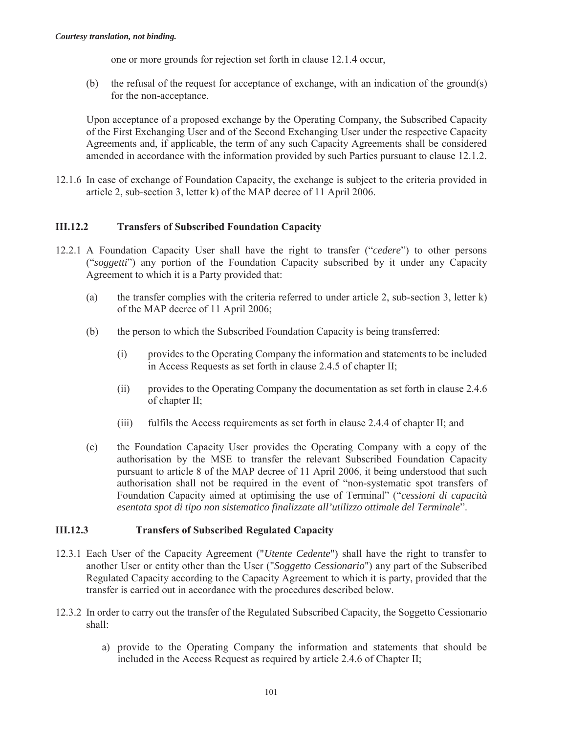one or more grounds for rejection set forth in clause 12.1.4 occur,

(b) the refusal of the request for acceptance of exchange, with an indication of the ground(s) for the non-acceptance.

Upon acceptance of a proposed exchange by the Operating Company, the Subscribed Capacity of the First Exchanging User and of the Second Exchanging User under the respective Capacity Agreements and, if applicable, the term of any such Capacity Agreements shall be considered amended in accordance with the information provided by such Parties pursuant to clause 12.1.2.

12.1.6 In case of exchange of Foundation Capacity, the exchange is subject to the criteria provided in article 2, sub-section 3, letter k) of the MAP decree of 11 April 2006.

#### **III.12.2 Transfers of Subscribed Foundation Capacity**

- 12.2.1 A Foundation Capacity User shall have the right to transfer ("*cedere*") to other persons ("*soggetti*") any portion of the Foundation Capacity subscribed by it under any Capacity Agreement to which it is a Party provided that:
	- (a) the transfer complies with the criteria referred to under article 2, sub-section 3, letter k) of the MAP decree of 11 April 2006;
	- (b) the person to which the Subscribed Foundation Capacity is being transferred:
		- (i) provides to the Operating Company the information and statements to be included in Access Requests as set forth in clause 2.4.5 of chapter II;
		- (ii) provides to the Operating Company the documentation as set forth in clause 2.4.6 of chapter II;
		- (iii) fulfils the Access requirements as set forth in clause 2.4.4 of chapter II; and
	- (c) the Foundation Capacity User provides the Operating Company with a copy of the authorisation by the MSE to transfer the relevant Subscribed Foundation Capacity pursuant to article 8 of the MAP decree of 11 April 2006, it being understood that such authorisation shall not be required in the event of "non-systematic spot transfers of Foundation Capacity aimed at optimising the use of Terminal" ("*cessioni di capacità esentata spot di tipo non sistematico finalizzate all'utilizzo ottimale del Terminale*".

#### **III.12.3 Transfers of Subscribed Regulated Capacity**

- 12.3.1 Each User of the Capacity Agreement ("*Utente Cedente*") shall have the right to transfer to another User or entity other than the User ("*Soggetto Cessionario*") any part of the Subscribed Regulated Capacity according to the Capacity Agreement to which it is party, provided that the transfer is carried out in accordance with the procedures described below.
- 12.3.2 In order to carry out the transfer of the Regulated Subscribed Capacity, the Soggetto Cessionario shall:
	- a) provide to the Operating Company the information and statements that should be included in the Access Request as required by article 2.4.6 of Chapter II;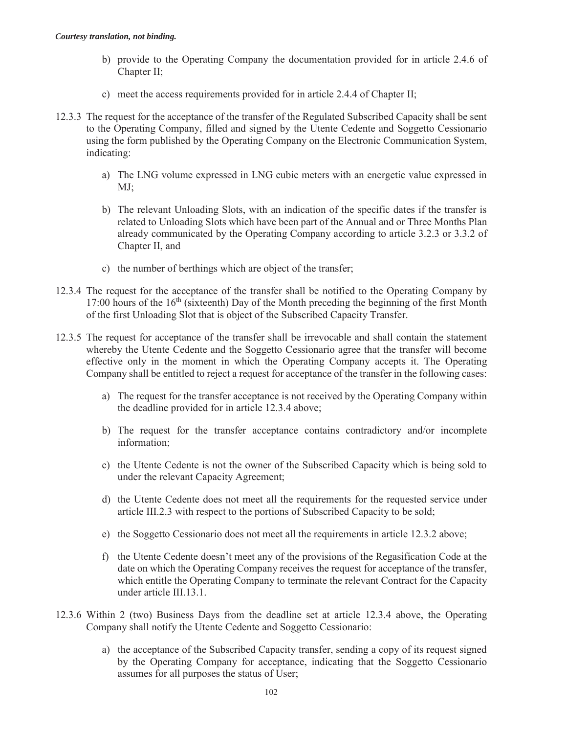- b) provide to the Operating Company the documentation provided for in article 2.4.6 of Chapter II;
- c) meet the access requirements provided for in article 2.4.4 of Chapter II;
- 12.3.3 The request for the acceptance of the transfer of the Regulated Subscribed Capacity shall be sent to the Operating Company, filled and signed by the Utente Cedente and Soggetto Cessionario using the form published by the Operating Company on the Electronic Communication System, indicating:
	- a) The LNG volume expressed in LNG cubic meters with an energetic value expressed in MJ;
	- b) The relevant Unloading Slots, with an indication of the specific dates if the transfer is related to Unloading Slots which have been part of the Annual and or Three Months Plan already communicated by the Operating Company according to article 3.2.3 or 3.3.2 of Chapter II, and
	- c) the number of berthings which are object of the transfer;
- 12.3.4 The request for the acceptance of the transfer shall be notified to the Operating Company by 17:00 hours of the 16<sup>th</sup> (sixteenth) Day of the Month preceding the beginning of the first Month of the first Unloading Slot that is object of the Subscribed Capacity Transfer.
- 12.3.5 The request for acceptance of the transfer shall be irrevocable and shall contain the statement whereby the Utente Cedente and the Soggetto Cessionario agree that the transfer will become effective only in the moment in which the Operating Company accepts it. The Operating Company shall be entitled to reject a request for acceptance of the transfer in the following cases:
	- a) The request for the transfer acceptance is not received by the Operating Company within the deadline provided for in article 12.3.4 above;
	- b) The request for the transfer acceptance contains contradictory and/or incomplete information;
	- c) the Utente Cedente is not the owner of the Subscribed Capacity which is being sold to under the relevant Capacity Agreement;
	- d) the Utente Cedente does not meet all the requirements for the requested service under article III.2.3 with respect to the portions of Subscribed Capacity to be sold;
	- e) the Soggetto Cessionario does not meet all the requirements in article 12.3.2 above;
	- f) the Utente Cedente doesn't meet any of the provisions of the Regasification Code at the date on which the Operating Company receives the request for acceptance of the transfer, which entitle the Operating Company to terminate the relevant Contract for the Capacity under article III.13.1.
- 12.3.6 Within 2 (two) Business Days from the deadline set at article 12.3.4 above, the Operating Company shall notify the Utente Cedente and Soggetto Cessionario:
	- a) the acceptance of the Subscribed Capacity transfer, sending a copy of its request signed by the Operating Company for acceptance, indicating that the Soggetto Cessionario assumes for all purposes the status of User;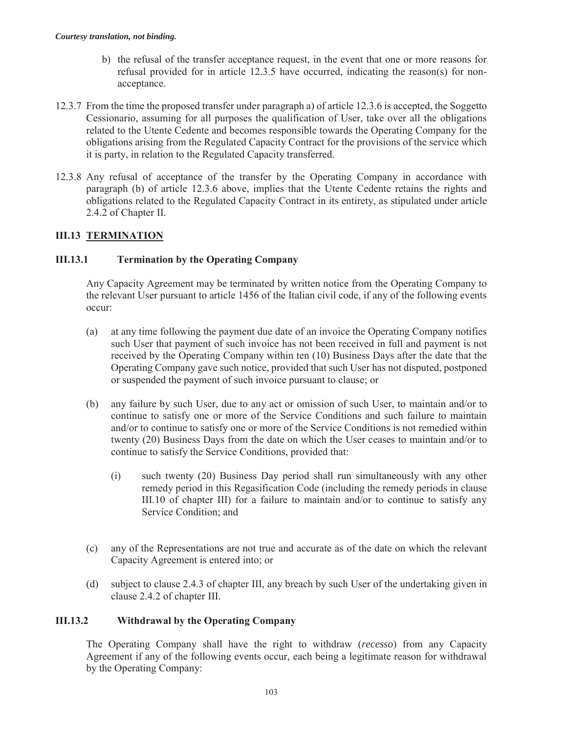- b) the refusal of the transfer acceptance request, in the event that one or more reasons for refusal provided for in article 12.3.5 have occurred, indicating the reason(s) for nonacceptance.
- 12.3.7 From the time the proposed transfer under paragraph a) of article 12.3.6 is accepted, the Soggetto Cessionario, assuming for all purposes the qualification of User, take over all the obligations related to the Utente Cedente and becomes responsible towards the Operating Company for the obligations arising from the Regulated Capacity Contract for the provisions of the service which it is party, in relation to the Regulated Capacity transferred.
- 12.3.8 Any refusal of acceptance of the transfer by the Operating Company in accordance with paragraph (b) of article 12.3.6 above, implies that the Utente Cedente retains the rights and obligations related to the Regulated Capacity Contract in its entirety, as stipulated under article 2.4.2 of Chapter II.

## **III.13 TERMINATION**

### **III.13.1 Termination by the Operating Company**

Any Capacity Agreement may be terminated by written notice from the Operating Company to the relevant User pursuant to article 1456 of the Italian civil code, if any of the following events occur:

- (a) at any time following the payment due date of an invoice the Operating Company notifies such User that payment of such invoice has not been received in full and payment is not received by the Operating Company within ten (10) Business Days after the date that the Operating Company gave such notice, provided that such User has not disputed, postponed or suspended the payment of such invoice pursuant to clause; or
- (b) any failure by such User, due to any act or omission of such User, to maintain and/or to continue to satisfy one or more of the Service Conditions and such failure to maintain and/or to continue to satisfy one or more of the Service Conditions is not remedied within twenty (20) Business Days from the date on which the User ceases to maintain and/or to continue to satisfy the Service Conditions, provided that:
	- (i) such twenty (20) Business Day period shall run simultaneously with any other remedy period in this Regasification Code (including the remedy periods in clause III.10 of chapter III) for a failure to maintain and/or to continue to satisfy any Service Condition; and
- (c) any of the Representations are not true and accurate as of the date on which the relevant Capacity Agreement is entered into; or
- (d) subject to clause 2.4.3 of chapter III, any breach by such User of the undertaking given in clause 2.4.2 of chapter III.

### **III.13.2 Withdrawal by the Operating Company**

The Operating Company shall have the right to withdraw (*recesso*) from any Capacity Agreement if any of the following events occur, each being a legitimate reason for withdrawal by the Operating Company: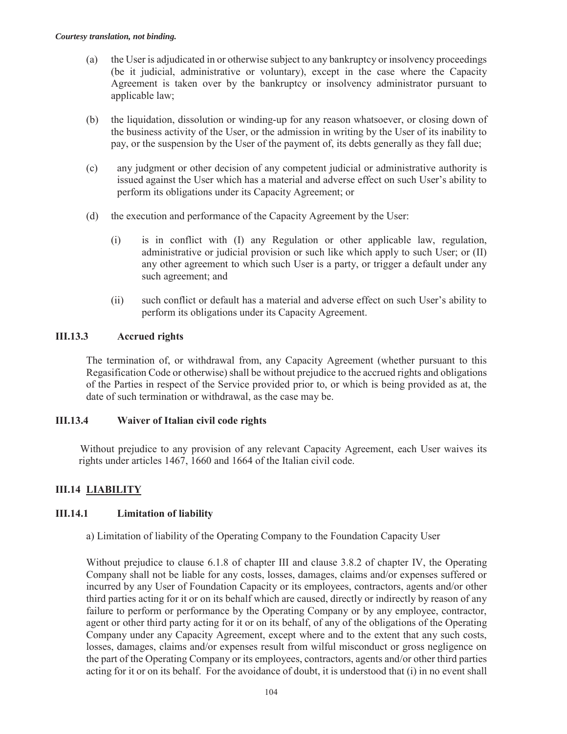- (a) the User is adjudicated in or otherwise subject to any bankruptcy or insolvency proceedings (be it judicial, administrative or voluntary), except in the case where the Capacity Agreement is taken over by the bankruptcy or insolvency administrator pursuant to applicable law;
- (b) the liquidation, dissolution or winding-up for any reason whatsoever, or closing down of the business activity of the User, or the admission in writing by the User of its inability to pay, or the suspension by the User of the payment of, its debts generally as they fall due;
- (c) any judgment or other decision of any competent judicial or administrative authority is issued against the User which has a material and adverse effect on such User's ability to perform its obligations under its Capacity Agreement; or
- (d) the execution and performance of the Capacity Agreement by the User:
	- (i) is in conflict with (I) any Regulation or other applicable law, regulation, administrative or judicial provision or such like which apply to such User; or (II) any other agreement to which such User is a party, or trigger a default under any such agreement; and
	- (ii) such conflict or default has a material and adverse effect on such User's ability to perform its obligations under its Capacity Agreement.

### **III.13.3 Accrued rights**

The termination of, or withdrawal from, any Capacity Agreement (whether pursuant to this Regasification Code or otherwise) shall be without prejudice to the accrued rights and obligations of the Parties in respect of the Service provided prior to, or which is being provided as at, the date of such termination or withdrawal, as the case may be.

### **III.13.4 Waiver of Italian civil code rights**

Without prejudice to any provision of any relevant Capacity Agreement, each User waives its rights under articles 1467, 1660 and 1664 of the Italian civil code.

# **III.14 LIABILITY**

### **III.14.1 Limitation of liability**

a) Limitation of liability of the Operating Company to the Foundation Capacity User

Without prejudice to clause 6.1.8 of chapter III and clause 3.8.2 of chapter IV, the Operating Company shall not be liable for any costs, losses, damages, claims and/or expenses suffered or incurred by any User of Foundation Capacity or its employees, contractors, agents and/or other third parties acting for it or on its behalf which are caused, directly or indirectly by reason of any failure to perform or performance by the Operating Company or by any employee, contractor, agent or other third party acting for it or on its behalf, of any of the obligations of the Operating Company under any Capacity Agreement, except where and to the extent that any such costs, losses, damages, claims and/or expenses result from wilful misconduct or gross negligence on the part of the Operating Company or its employees, contractors, agents and/or other third parties acting for it or on its behalf. For the avoidance of doubt, it is understood that (i) in no event shall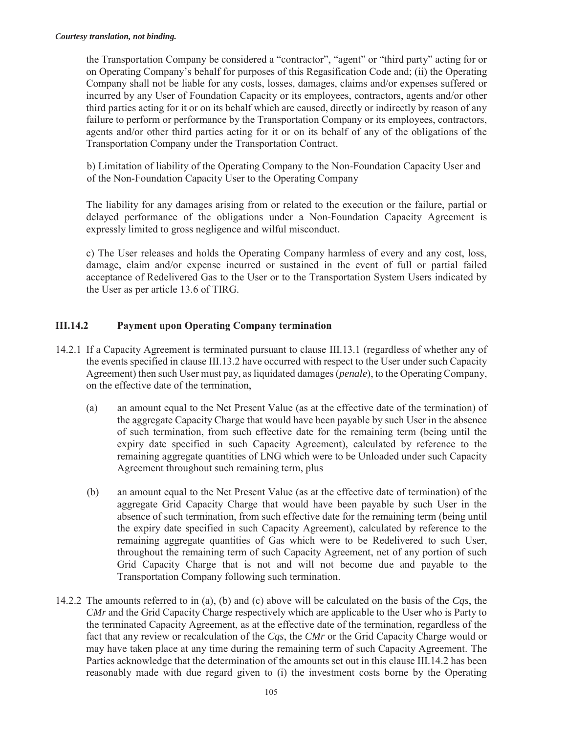the Transportation Company be considered a "contractor", "agent" or "third party" acting for or on Operating Company's behalf for purposes of this Regasification Code and; (ii) the Operating Company shall not be liable for any costs, losses, damages, claims and/or expenses suffered or incurred by any User of Foundation Capacity or its employees, contractors, agents and/or other third parties acting for it or on its behalf which are caused, directly or indirectly by reason of any failure to perform or performance by the Transportation Company or its employees, contractors, agents and/or other third parties acting for it or on its behalf of any of the obligations of the Transportation Company under the Transportation Contract.

b) Limitation of liability of the Operating Company to the Non-Foundation Capacity User and of the Non-Foundation Capacity User to the Operating Company

The liability for any damages arising from or related to the execution or the failure, partial or delayed performance of the obligations under a Non-Foundation Capacity Agreement is expressly limited to gross negligence and wilful misconduct.

c) The User releases and holds the Operating Company harmless of every and any cost, loss, damage, claim and/or expense incurred or sustained in the event of full or partial failed acceptance of Redelivered Gas to the User or to the Transportation System Users indicated by the User as per article 13.6 of TIRG.

# **III.14.2 Payment upon Operating Company termination**

- 14.2.1 If a Capacity Agreement is terminated pursuant to clause III.13.1 (regardless of whether any of the events specified in clause III.13.2 have occurred with respect to the User under such Capacity Agreement) then such User must pay, as liquidated damages (*penale*), to the Operating Company, on the effective date of the termination,
	- (a) an amount equal to the Net Present Value (as at the effective date of the termination) of the aggregate Capacity Charge that would have been payable by such User in the absence of such termination, from such effective date for the remaining term (being until the expiry date specified in such Capacity Agreement), calculated by reference to the remaining aggregate quantities of LNG which were to be Unloaded under such Capacity Agreement throughout such remaining term, plus
	- (b) an amount equal to the Net Present Value (as at the effective date of termination) of the aggregate Grid Capacity Charge that would have been payable by such User in the absence of such termination, from such effective date for the remaining term (being until the expiry date specified in such Capacity Agreement), calculated by reference to the remaining aggregate quantities of Gas which were to be Redelivered to such User, throughout the remaining term of such Capacity Agreement, net of any portion of such Grid Capacity Charge that is not and will not become due and payable to the Transportation Company following such termination.
- 14.2.2 The amounts referred to in (a), (b) and (c) above will be calculated on the basis of the *Cqs*, the *CMr* and the Grid Capacity Charge respectively which are applicable to the User who is Party to the terminated Capacity Agreement, as at the effective date of the termination, regardless of the fact that any review or recalculation of the *Cqs*, the *CMr* or the Grid Capacity Charge would or may have taken place at any time during the remaining term of such Capacity Agreement. The Parties acknowledge that the determination of the amounts set out in this clause III.14.2 has been reasonably made with due regard given to (i) the investment costs borne by the Operating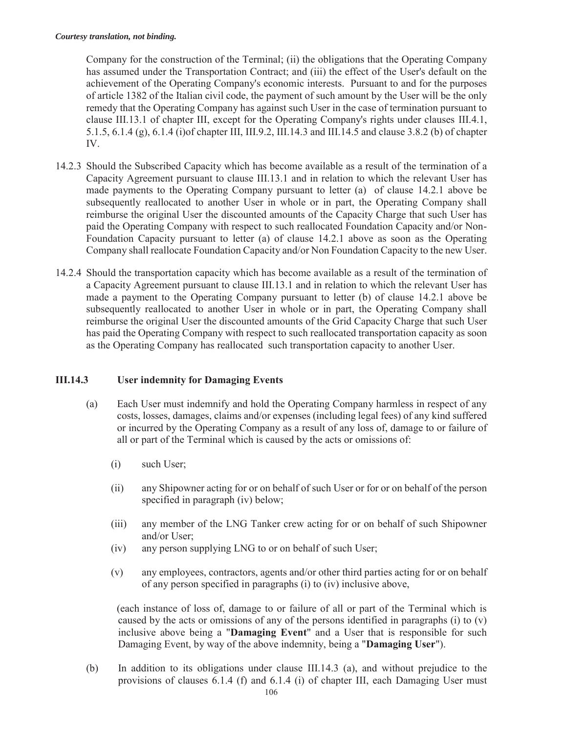Company for the construction of the Terminal; (ii) the obligations that the Operating Company has assumed under the Transportation Contract; and (iii) the effect of the User's default on the achievement of the Operating Company's economic interests. Pursuant to and for the purposes of article 1382 of the Italian civil code, the payment of such amount by the User will be the only remedy that the Operating Company has against such User in the case of termination pursuant to clause III.13.1 of chapter III, except for the Operating Company's rights under clauses III.4.1, 5.1.5, 6.1.4 (g), 6.1.4 (i)of chapter III, III.9.2, III.14.3 and III.14.5 and clause 3.8.2 (b) of chapter IV.

- 14.2.3 Should the Subscribed Capacity which has become available as a result of the termination of a Capacity Agreement pursuant to clause III.13.1 and in relation to which the relevant User has made payments to the Operating Company pursuant to letter (a) of clause 14.2.1 above be subsequently reallocated to another User in whole or in part, the Operating Company shall reimburse the original User the discounted amounts of the Capacity Charge that such User has paid the Operating Company with respect to such reallocated Foundation Capacity and/or Non-Foundation Capacity pursuant to letter (a) of clause 14.2.1 above as soon as the Operating Company shall reallocate Foundation Capacity and/or Non Foundation Capacity to the new User.
- 14.2.4 Should the transportation capacity which has become available as a result of the termination of a Capacity Agreement pursuant to clause III.13.1 and in relation to which the relevant User has made a payment to the Operating Company pursuant to letter (b) of clause 14.2.1 above be subsequently reallocated to another User in whole or in part, the Operating Company shall reimburse the original User the discounted amounts of the Grid Capacity Charge that such User has paid the Operating Company with respect to such reallocated transportation capacity as soon as the Operating Company has reallocated such transportation capacity to another User.

### **III.14.3 User indemnity for Damaging Events**

- (a) Each User must indemnify and hold the Operating Company harmless in respect of any costs, losses, damages, claims and/or expenses (including legal fees) of any kind suffered or incurred by the Operating Company as a result of any loss of, damage to or failure of all or part of the Terminal which is caused by the acts or omissions of:
	- (i) such User;
	- (ii) any Shipowner acting for or on behalf of such User or for or on behalf of the person specified in paragraph (iv) below;
	- (iii) any member of the LNG Tanker crew acting for or on behalf of such Shipowner and/or User;
	- (iv) any person supplying LNG to or on behalf of such User;
	- (v) any employees, contractors, agents and/or other third parties acting for or on behalf of any person specified in paragraphs (i) to (iv) inclusive above,

(each instance of loss of, damage to or failure of all or part of the Terminal which is caused by the acts or omissions of any of the persons identified in paragraphs (i) to (v) inclusive above being a "**Damaging Event**" and a User that is responsible for such Damaging Event, by way of the above indemnity, being a "**Damaging User**").

(b) In addition to its obligations under clause III.14.3 (a), and without prejudice to the provisions of clauses 6.1.4 (f) and 6.1.4 (i) of chapter III, each Damaging User must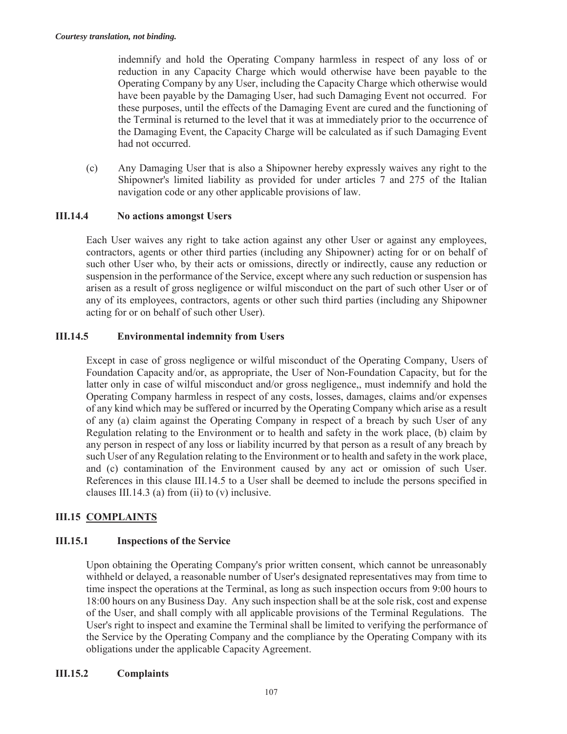indemnify and hold the Operating Company harmless in respect of any loss of or reduction in any Capacity Charge which would otherwise have been payable to the Operating Company by any User, including the Capacity Charge which otherwise would have been payable by the Damaging User, had such Damaging Event not occurred. For these purposes, until the effects of the Damaging Event are cured and the functioning of the Terminal is returned to the level that it was at immediately prior to the occurrence of the Damaging Event, the Capacity Charge will be calculated as if such Damaging Event had not occurred.

(c) Any Damaging User that is also a Shipowner hereby expressly waives any right to the Shipowner's limited liability as provided for under articles 7 and 275 of the Italian navigation code or any other applicable provisions of law.

# **III.14.4 No actions amongst Users**

Each User waives any right to take action against any other User or against any employees, contractors, agents or other third parties (including any Shipowner) acting for or on behalf of such other User who, by their acts or omissions, directly or indirectly, cause any reduction or suspension in the performance of the Service, except where any such reduction or suspension has arisen as a result of gross negligence or wilful misconduct on the part of such other User or of any of its employees, contractors, agents or other such third parties (including any Shipowner acting for or on behalf of such other User).

# **III.14.5 Environmental indemnity from Users**

Except in case of gross negligence or wilful misconduct of the Operating Company, Users of Foundation Capacity and/or, as appropriate, the User of Non-Foundation Capacity, but for the latter only in case of wilful misconduct and/or gross negligence,, must indemnify and hold the Operating Company harmless in respect of any costs, losses, damages, claims and/or expenses of any kind which may be suffered or incurred by the Operating Company which arise as a result of any (a) claim against the Operating Company in respect of a breach by such User of any Regulation relating to the Environment or to health and safety in the work place, (b) claim by any person in respect of any loss or liability incurred by that person as a result of any breach by such User of any Regulation relating to the Environment or to health and safety in the work place, and (c) contamination of the Environment caused by any act or omission of such User. References in this clause III.14.5 to a User shall be deemed to include the persons specified in clauses III.14.3 (a) from (ii) to  $(v)$  inclusive.

# **III.15 COMPLAINTS**

# **III.15.1 Inspections of the Service**

Upon obtaining the Operating Company's prior written consent, which cannot be unreasonably withheld or delayed, a reasonable number of User's designated representatives may from time to time inspect the operations at the Terminal, as long as such inspection occurs from 9:00 hours to 18:00 hours on any Business Day. Any such inspection shall be at the sole risk, cost and expense of the User, and shall comply with all applicable provisions of the Terminal Regulations. The User's right to inspect and examine the Terminal shall be limited to verifying the performance of the Service by the Operating Company and the compliance by the Operating Company with its obligations under the applicable Capacity Agreement.

### **III.15.2 Complaints**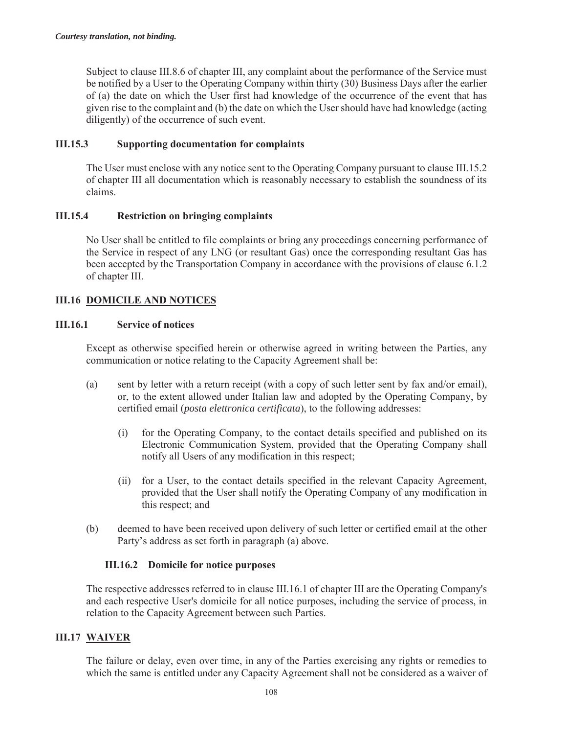Subject to clause III.8.6 of chapter III, any complaint about the performance of the Service must be notified by a User to the Operating Company within thirty (30) Business Days after the earlier of (a) the date on which the User first had knowledge of the occurrence of the event that has given rise to the complaint and (b) the date on which the User should have had knowledge (acting diligently) of the occurrence of such event.

### **III.15.3 Supporting documentation for complaints**

The User must enclose with any notice sent to the Operating Company pursuant to clause III.15.2 of chapter III all documentation which is reasonably necessary to establish the soundness of its claims.

### **III.15.4 Restriction on bringing complaints**

No User shall be entitled to file complaints or bring any proceedings concerning performance of the Service in respect of any LNG (or resultant Gas) once the corresponding resultant Gas has been accepted by the Transportation Company in accordance with the provisions of clause 6.1.2 of chapter III.

# **III.16 DOMICILE AND NOTICES**

### **III.16.1 Service of notices**

Except as otherwise specified herein or otherwise agreed in writing between the Parties, any communication or notice relating to the Capacity Agreement shall be:

- (a) sent by letter with a return receipt (with a copy of such letter sent by fax and/or email), or, to the extent allowed under Italian law and adopted by the Operating Company, by certified email (*posta elettronica certificata*), to the following addresses:
	- (i) for the Operating Company, to the contact details specified and published on its Electronic Communication System, provided that the Operating Company shall notify all Users of any modification in this respect;
	- (ii) for a User, to the contact details specified in the relevant Capacity Agreement, provided that the User shall notify the Operating Company of any modification in this respect; and
- (b) deemed to have been received upon delivery of such letter or certified email at the other Party's address as set forth in paragraph (a) above.

### **III.16.2 Domicile for notice purposes**

The respective addresses referred to in clause III.16.1 of chapter III are the Operating Company's and each respective User's domicile for all notice purposes, including the service of process, in relation to the Capacity Agreement between such Parties.

### **III.17 WAIVER**

The failure or delay, even over time, in any of the Parties exercising any rights or remedies to which the same is entitled under any Capacity Agreement shall not be considered as a waiver of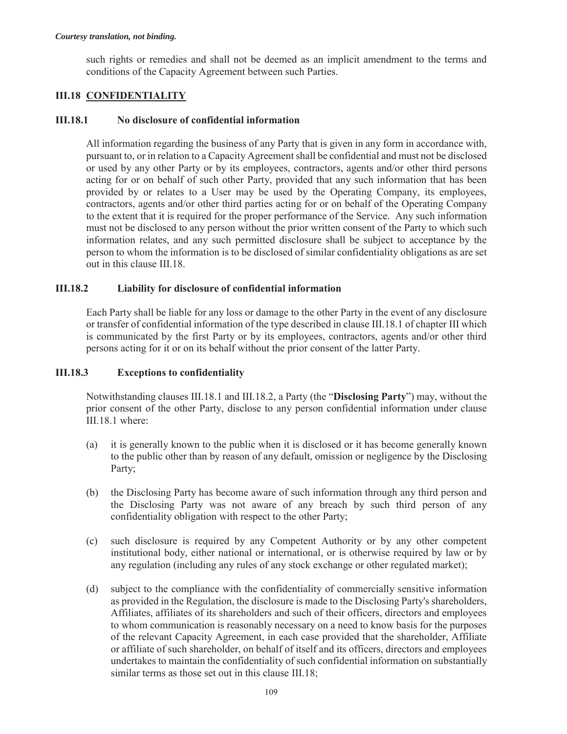such rights or remedies and shall not be deemed as an implicit amendment to the terms and conditions of the Capacity Agreement between such Parties.

# **III.18 CONFIDENTIALITY**

## **III.18.1 No disclosure of confidential information**

All information regarding the business of any Party that is given in any form in accordance with, pursuant to, or in relation to a Capacity Agreement shall be confidential and must not be disclosed or used by any other Party or by its employees, contractors, agents and/or other third persons acting for or on behalf of such other Party, provided that any such information that has been provided by or relates to a User may be used by the Operating Company, its employees, contractors, agents and/or other third parties acting for or on behalf of the Operating Company to the extent that it is required for the proper performance of the Service. Any such information must not be disclosed to any person without the prior written consent of the Party to which such information relates, and any such permitted disclosure shall be subject to acceptance by the person to whom the information is to be disclosed of similar confidentiality obligations as are set out in this clause III.18.

### **III.18.2 Liability for disclosure of confidential information**

Each Party shall be liable for any loss or damage to the other Party in the event of any disclosure or transfer of confidential information of the type described in clause III.18.1 of chapter III which is communicated by the first Party or by its employees, contractors, agents and/or other third persons acting for it or on its behalf without the prior consent of the latter Party.

### **III.18.3 Exceptions to confidentiality**

Notwithstanding clauses III.18.1 and III.18.2, a Party (the "**Disclosing Party**") may, without the prior consent of the other Party, disclose to any person confidential information under clause III.18.1 where:

- (a) it is generally known to the public when it is disclosed or it has become generally known to the public other than by reason of any default, omission or negligence by the Disclosing Party;
- (b) the Disclosing Party has become aware of such information through any third person and the Disclosing Party was not aware of any breach by such third person of any confidentiality obligation with respect to the other Party;
- (c) such disclosure is required by any Competent Authority or by any other competent institutional body, either national or international, or is otherwise required by law or by any regulation (including any rules of any stock exchange or other regulated market);
- (d) subject to the compliance with the confidentiality of commercially sensitive information as provided in the Regulation, the disclosure is made to the Disclosing Party's shareholders, Affiliates, affiliates of its shareholders and such of their officers, directors and employees to whom communication is reasonably necessary on a need to know basis for the purposes of the relevant Capacity Agreement, in each case provided that the shareholder, Affiliate or affiliate of such shareholder, on behalf of itself and its officers, directors and employees undertakes to maintain the confidentiality of such confidential information on substantially similar terms as those set out in this clause III.18;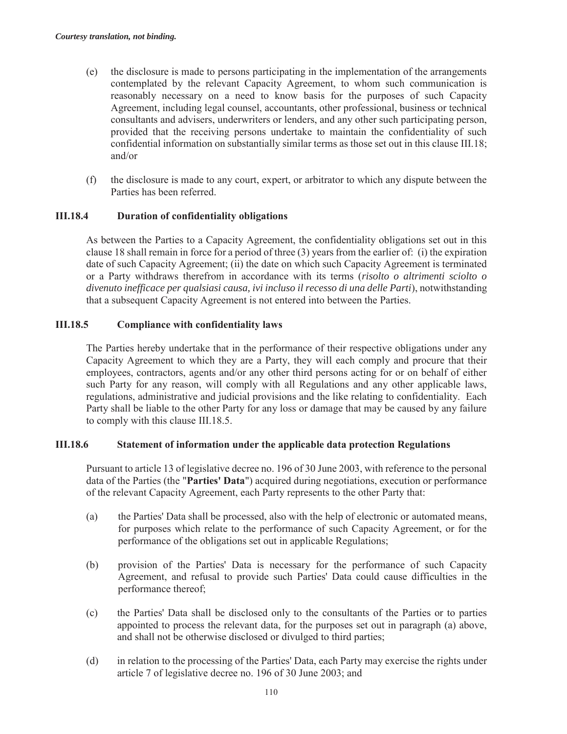- (e) the disclosure is made to persons participating in the implementation of the arrangements contemplated by the relevant Capacity Agreement, to whom such communication is reasonably necessary on a need to know basis for the purposes of such Capacity Agreement, including legal counsel, accountants, other professional, business or technical consultants and advisers, underwriters or lenders, and any other such participating person, provided that the receiving persons undertake to maintain the confidentiality of such confidential information on substantially similar terms as those set out in this clause III.18; and/or
- (f) the disclosure is made to any court, expert, or arbitrator to which any dispute between the Parties has been referred.

#### **III.18.4 Duration of confidentiality obligations**

As between the Parties to a Capacity Agreement, the confidentiality obligations set out in this clause 18 shall remain in force for a period of three (3) years from the earlier of: (i) the expiration date of such Capacity Agreement; (ii) the date on which such Capacity Agreement is terminated or a Party withdraws therefrom in accordance with its terms (*risolto o altrimenti sciolto o divenuto inefficace per qualsiasi causa, ivi incluso il recesso di una delle Parti*), notwithstanding that a subsequent Capacity Agreement is not entered into between the Parties.

#### **III.18.5 Compliance with confidentiality laws**

The Parties hereby undertake that in the performance of their respective obligations under any Capacity Agreement to which they are a Party, they will each comply and procure that their employees, contractors, agents and/or any other third persons acting for or on behalf of either such Party for any reason, will comply with all Regulations and any other applicable laws, regulations, administrative and judicial provisions and the like relating to confidentiality. Each Party shall be liable to the other Party for any loss or damage that may be caused by any failure to comply with this clause III.18.5.

#### **III.18.6 Statement of information under the applicable data protection Regulations**

Pursuant to article 13 of legislative decree no. 196 of 30 June 2003, with reference to the personal data of the Parties (the "**Parties' Data**") acquired during negotiations, execution or performance of the relevant Capacity Agreement, each Party represents to the other Party that:

- (a) the Parties' Data shall be processed, also with the help of electronic or automated means, for purposes which relate to the performance of such Capacity Agreement, or for the performance of the obligations set out in applicable Regulations;
- (b) provision of the Parties' Data is necessary for the performance of such Capacity Agreement, and refusal to provide such Parties' Data could cause difficulties in the performance thereof;
- (c) the Parties' Data shall be disclosed only to the consultants of the Parties or to parties appointed to process the relevant data, for the purposes set out in paragraph (a) above, and shall not be otherwise disclosed or divulged to third parties;
- (d) in relation to the processing of the Parties' Data, each Party may exercise the rights under article 7 of legislative decree no. 196 of 30 June 2003; and